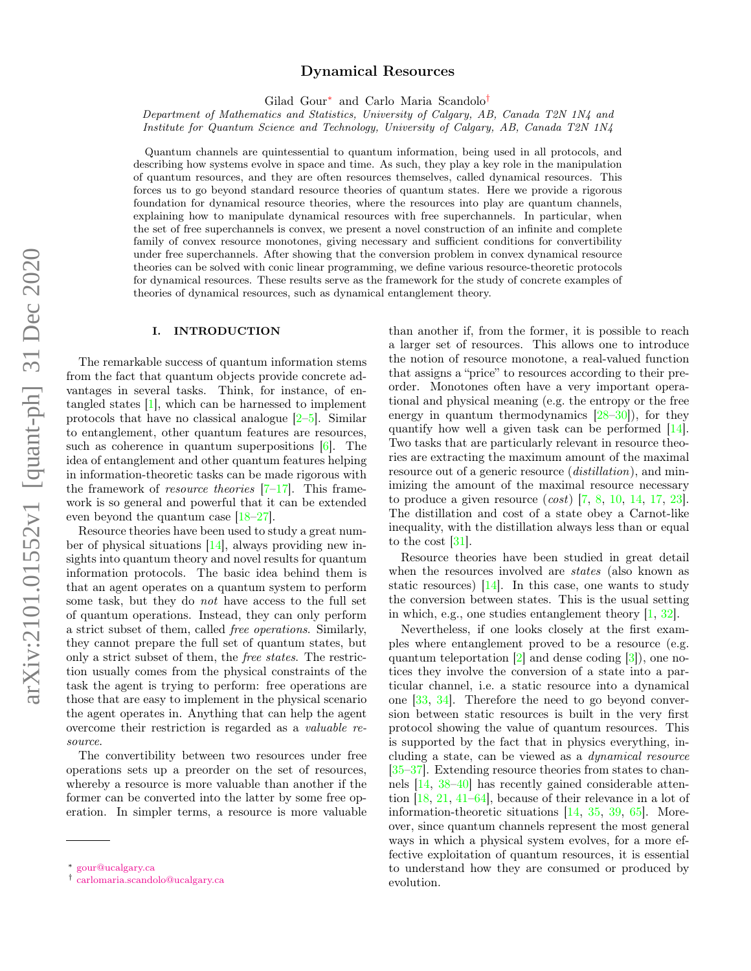# Dynamical Resources

Gilad Gour[∗](#page-0-0) and Carlo Maria Scandolo[†](#page-0-1)

Department of Mathematics and Statistics, University of Calgary, AB, Canada T2N 1N4 and Institute for Quantum Science and Technology, University of Calgary, AB, Canada T2N 1N4

Quantum channels are quintessential to quantum information, being used in all protocols, and describing how systems evolve in space and time. As such, they play a key role in the manipulation of quantum resources, and they are often resources themselves, called dynamical resources. This forces us to go beyond standard resource theories of quantum states. Here we provide a rigorous foundation for dynamical resource theories, where the resources into play are quantum channels, explaining how to manipulate dynamical resources with free superchannels. In particular, when the set of free superchannels is convex, we present a novel construction of an infinite and complete family of convex resource monotones, giving necessary and sufficient conditions for convertibility under free superchannels. After showing that the conversion problem in convex dynamical resource theories can be solved with conic linear programming, we define various resource-theoretic protocols for dynamical resources. These results serve as the framework for the study of concrete examples of theories of dynamical resources, such as dynamical entanglement theory.

# I. INTRODUCTION

The remarkable success of quantum information stems from the fact that quantum objects provide concrete advantages in several tasks. Think, for instance, of entangled states [\[1\]](#page-11-0), which can be harnessed to implement protocols that have no classical analogue [\[2](#page-11-1)[–5\]](#page-11-2). Similar to entanglement, other quantum features are resources, such as coherence in quantum superpositions [\[6\]](#page-11-3). The idea of entanglement and other quantum features helping in information-theoretic tasks can be made rigorous with the framework of *resource theories*  $[7-17]$  $[7-17]$ . This framework is so general and powerful that it can be extended even beyond the quantum case [\[18](#page-11-6)[–27\]](#page-11-7).

Resource theories have been used to study a great number of physical situations [\[14\]](#page-11-8), always providing new insights into quantum theory and novel results for quantum information protocols. The basic idea behind them is that an agent operates on a quantum system to perform some task, but they do not have access to the full set of quantum operations. Instead, they can only perform a strict subset of them, called free operations. Similarly, they cannot prepare the full set of quantum states, but only a strict subset of them, the free states. The restriction usually comes from the physical constraints of the task the agent is trying to perform: free operations are those that are easy to implement in the physical scenario the agent operates in. Anything that can help the agent overcome their restriction is regarded as a valuable resource.

The convertibility between two resources under free operations sets up a preorder on the set of resources, whereby a resource is more valuable than another if the former can be converted into the latter by some free operation. In simpler terms, a resource is more valuable than another if, from the former, it is possible to reach a larger set of resources. This allows one to introduce the notion of resource monotone, a real-valued function that assigns a "price" to resources according to their preorder. Monotones often have a very important operational and physical meaning (e.g. the entropy or the free energy in quantum thermodynamics  $[28-30]$  $[28-30]$ , for they quantify how well a given task can be performed [\[14\]](#page-11-8). Two tasks that are particularly relevant in resource theories are extracting the maximum amount of the maximal resource out of a generic resource (*distillation*), and minimizing the amount of the maximal resource necessary to produce a given resource  $(cost)$  [\[7,](#page-11-4) [8,](#page-11-11) [10,](#page-11-12) [14,](#page-11-8) [17,](#page-11-5) [23\]](#page-11-13). The distillation and cost of a state obey a Carnot-like inequality, with the distillation always less than or equal to the cost [\[31\]](#page-11-14).

Resource theories have been studied in great detail when the resources involved are *states* (also known as static resources) [\[14\]](#page-11-8). In this case, one wants to study the conversion between states. This is the usual setting in which, e.g., one studies entanglement theory [\[1,](#page-11-0) [32\]](#page-11-15).

Nevertheless, if one looks closely at the first examples where entanglement proved to be a resource (e.g. quantum teleportation [\[2\]](#page-11-1) and dense coding [\[3\]](#page-11-16)), one notices they involve the conversion of a state into a particular channel, i.e. a static resource into a dynamical one [\[33,](#page-11-17) [34\]](#page-11-18). Therefore the need to go beyond conversion between static resources is built in the very first protocol showing the value of quantum resources. This is supported by the fact that in physics everything, including a state, can be viewed as a dynamical resource [\[35–](#page-11-19)[37\]](#page-11-20). Extending resource theories from states to channels [\[14,](#page-11-8) [38](#page-12-0)[–40\]](#page-12-1) has recently gained considerable attention [\[18,](#page-11-6) [21,](#page-11-21) [41–](#page-12-2)[64\]](#page-12-3), because of their relevance in a lot of information-theoretic situations [\[14,](#page-11-8) [35,](#page-11-19) [39,](#page-12-4) [65\]](#page-12-5). Moreover, since quantum channels represent the most general ways in which a physical system evolves, for a more effective exploitation of quantum resources, it is essential to understand how they are consumed or produced by evolution.

<span id="page-0-0"></span><sup>∗</sup> [gour@ucalgary.ca](mailto:gour@ucalgary.ca)

<span id="page-0-1"></span><sup>†</sup> [carlomaria.scandolo@ucalgary.ca](mailto:carlomaria.scandolo@ucalgary.ca)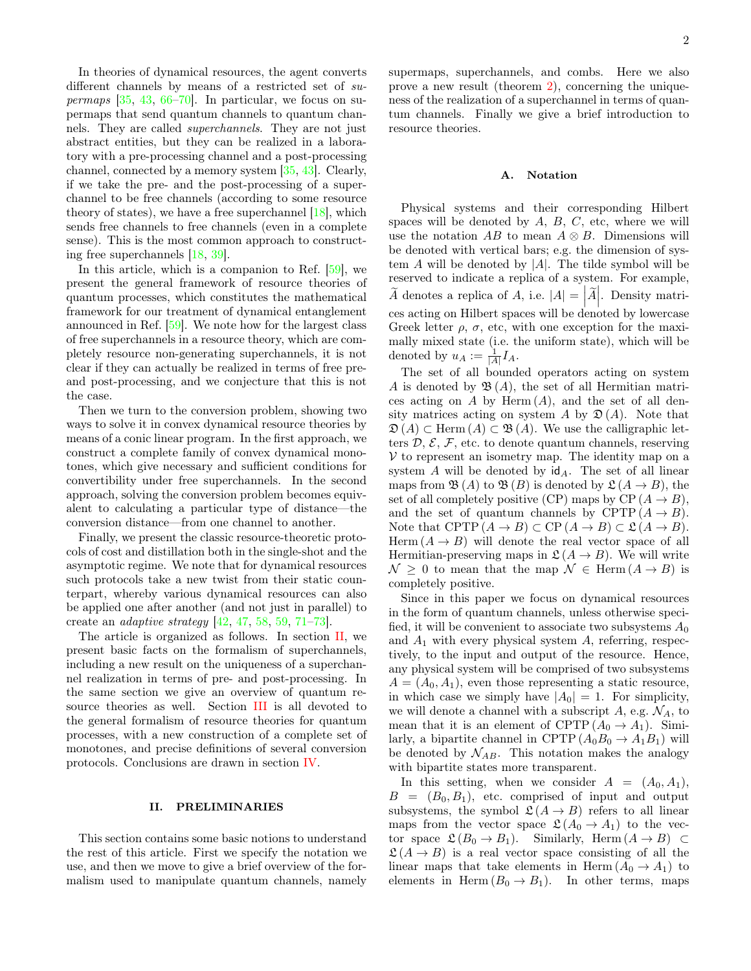In theories of dynamical resources, the agent converts different channels by means of a restricted set of  $su$ permaps  $[35, 43, 66-70]$  $[35, 43, 66-70]$  $[35, 43, 66-70]$  $[35, 43, 66-70]$  $[35, 43, 66-70]$ . In particular, we focus on supermaps that send quantum channels to quantum channels. They are called superchannels. They are not just abstract entities, but they can be realized in a laboratory with a pre-processing channel and a post-processing channel, connected by a memory system [\[35,](#page-11-19) [43\]](#page-12-6). Clearly, if we take the pre- and the post-processing of a superchannel to be free channels (according to some resource theory of states), we have a free superchannel [\[18\]](#page-11-6), which sends free channels to free channels (even in a complete sense). This is the most common approach to constructing free superchannels [\[18,](#page-11-6) [39\]](#page-12-4).

In this article, which is a companion to Ref.  $[59]$ , we present the general framework of resource theories of quantum processes, which constitutes the mathematical framework for our treatment of dynamical entanglement announced in Ref. [\[59\]](#page-12-9). We note how for the largest class of free superchannels in a resource theory, which are completely resource non-generating superchannels, it is not clear if they can actually be realized in terms of free preand post-processing, and we conjecture that this is not the case.

Then we turn to the conversion problem, showing two ways to solve it in convex dynamical resource theories by means of a conic linear program. In the first approach, we construct a complete family of convex dynamical monotones, which give necessary and sufficient conditions for convertibility under free superchannels. In the second approach, solving the conversion problem becomes equivalent to calculating a particular type of distance—the conversion distance—from one channel to another.

Finally, we present the classic resource-theoretic protocols of cost and distillation both in the single-shot and the asymptotic regime. We note that for dynamical resources such protocols take a new twist from their static counterpart, whereby various dynamical resources can also be applied one after another (and not just in parallel) to create an adaptive strategy [\[42,](#page-12-10) [47,](#page-12-11) [58,](#page-12-12) [59,](#page-12-9) [71–](#page-12-13)[73\]](#page-12-14).

The article is organized as follows. In section [II,](#page-1-0) we present basic facts on the formalism of superchannels, including a new result on the uniqueness of a superchannel realization in terms of pre- and post-processing. In the same section we give an overview of quantum resource theories as well. Section [III](#page-6-0) is all devoted to the general formalism of resource theories for quantum processes, with a new construction of a complete set of monotones, and precise definitions of several conversion protocols. Conclusions are drawn in section [IV.](#page-10-0)

### <span id="page-1-0"></span>II. PRELIMINARIES

This section contains some basic notions to understand the rest of this article. First we specify the notation we use, and then we move to give a brief overview of the formalism used to manipulate quantum channels, namely supermaps, superchannels, and combs. Here we also prove a new result (theorem [2\)](#page-3-0), concerning the uniqueness of the realization of a superchannel in terms of quantum channels. Finally we give a brief introduction to resource theories.

### A. Notation

Physical systems and their corresponding Hilbert spaces will be denoted by  $A, B, C$ , etc, where we will use the notation AB to mean  $A \otimes B$ . Dimensions will be denoted with vertical bars; e.g. the dimension of system  $A$  will be denoted by  $|A|$ . The tilde symbol will be reserved to indicate a replica of a system. For example,  $\widetilde{A}$  denotes a replica of A, i.e.  $|A| = |\widetilde{A}|$ . Density matri- $\frac{1}{2}$  cess acting on Hilbert spaces will be denoted by lowercase Greek letter  $\rho$ ,  $\sigma$ , etc, with one exception for the maximally mixed state (i.e. the uniform state), which will be denoted by  $u_A := \frac{1}{|A|} I_A$ .

The set of all bounded operators acting on system A is denoted by  $\mathfrak{B}(A)$ , the set of all Hermitian matrices acting on A by Herm  $(A)$ , and the set of all density matrices acting on system A by  $\mathfrak{D}(A)$ . Note that  $\mathfrak{D}(A) \subset \text{Herm}(A) \subset \mathfrak{B}(A)$ . We use the calligraphic letters  $\mathcal{D}, \mathcal{E}, \mathcal{F}$ , etc. to denote quantum channels, reserving  $V$  to represent an isometry map. The identity map on a system  $A$  will be denoted by  $\mathsf{id}_A$ . The set of all linear maps from  $\mathfrak{B}(A)$  to  $\mathfrak{B}(B)$  is denoted by  $\mathfrak{L}(A \rightarrow B)$ , the set of all completely positive (CP) maps by CP  $(A \rightarrow B)$ , and the set of quantum channels by CPTP  $(A \rightarrow B)$ . Note that CPTP  $(A \to B) \subset CP (A \to B) \subset \mathfrak{L} (A \to B)$ . Herm  $(A \rightarrow B)$  will denote the real vector space of all Hermitian-preserving maps in  $\mathfrak{L}(A \to B)$ . We will write  $\mathcal{N} \geq 0$  to mean that the map  $\mathcal{N} \in \text{Herm}(A \to B)$  is completely positive.

Since in this paper we focus on dynamical resources in the form of quantum channels, unless otherwise specified, it will be convenient to associate two subsystems  $A_0$ and  $A_1$  with every physical system  $A$ , referring, respectively, to the input and output of the resource. Hence, any physical system will be comprised of two subsystems  $A = (A_0, A_1)$ , even those representing a static resource, in which case we simply have  $|A_0| = 1$ . For simplicity, we will denote a channel with a subscript A, e.g.  $\mathcal{N}_A$ , to mean that it is an element of CPTP  $(A_0 \rightarrow A_1)$ . Similarly, a bipartite channel in CPTP  $(A_0B_0 \rightarrow A_1B_1)$  will be denoted by  $\mathcal{N}_{AB}$ . This notation makes the analogy with bipartite states more transparent.

In this setting, when we consider  $A = (A_0, A_1)$ ,  $B = (B_0, B_1)$ , etc. comprised of input and output subsystems, the symbol  $\mathfrak{L}(A \to B)$  refers to all linear maps from the vector space  $\mathfrak{L}(A_0 \to A_1)$  to the vector space  $\mathfrak{L}(B_0 \to B_1)$ . Similarly, Herm  $(A \to B) \subset$  $\mathfrak{L}(A \to B)$  is a real vector space consisting of all the linear maps that take elements in Herm  $(A_0 \rightarrow A_1)$  to elements in Herm  $(B_0 \to B_1)$ . In other terms, maps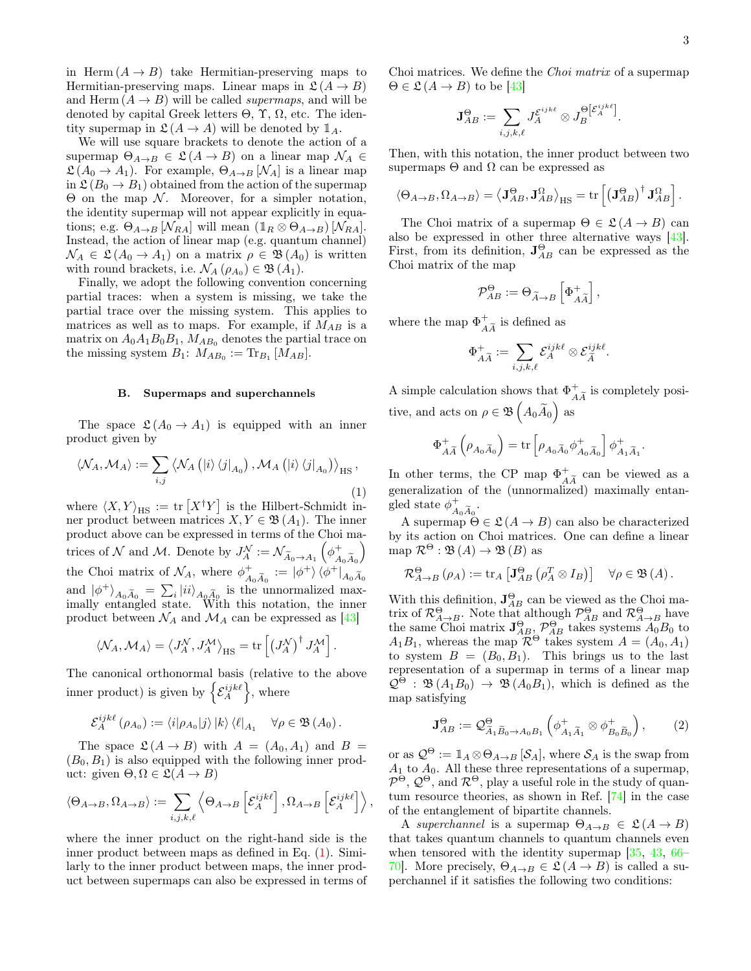in Herm  $(A \rightarrow B)$  take Hermitian-preserving maps to Hermitian-preserving maps. Linear maps in  $\mathfrak{L}(A \to B)$ and Herm  $(A \rightarrow B)$  will be called *supermaps*, and will be denoted by capital Greek letters  $\Theta$ ,  $\Upsilon$ ,  $\Omega$ , etc. The identity supermap in  $\mathfrak{L}(A \to A)$  will be denoted by  $\mathbb{1}_A$ .

We will use square brackets to denote the action of a supermap  $\Theta_{A\to B} \in \mathfrak{L}(A \to B)$  on a linear map  $\mathcal{N}_A \in$  $\mathfrak{L}(A_0 \to A_1)$ . For example,  $\Theta_{A \to B} [\mathcal{N}_A]$  is a linear map in  $\mathfrak{L}(B_0 \to B_1)$  obtained from the action of the supermap  $Θ$  on the map  $N$ . Moreover, for a simpler notation, the identity supermap will not appear explicitly in equations; e.g.  $\Theta_{A\rightarrow B}$  [ $\mathcal{N}_{RA}$ ] will mean  $(1_R \otimes \Theta_{A\rightarrow B})$  [ $\mathcal{N}_{RA}$ ]. Instead, the action of linear map (e.g. quantum channel)  $\mathcal{N}_A \in \mathfrak{L}(\mathcal{A}_0 \to \mathcal{A}_1)$  on a matrix  $\rho \in \mathfrak{B}(\mathcal{A}_0)$  is written with round brackets, i.e.  $\mathcal{N}_A(\rho_{A_0}) \in \mathfrak{B}(A_1)$ .

Finally, we adopt the following convention concerning partial traces: when a system is missing, we take the partial trace over the missing system. This applies to matrices as well as to maps. For example, if  $M_{AB}$  is a matrix on  $A_0A_1B_0B_1$ ,  $M_{AB_0}$  denotes the partial trace on the missing system  $B_1$ :  $M_{AB_0}$  := Tr<sub>B<sub>1</sub></sub> [ $M_{AB}$ ].

#### B. Supermaps and superchannels

The space  $\mathfrak{L}(A_0 \to A_1)$  is equipped with an inner product given by

<span id="page-2-0"></span>
$$
\langle \mathcal{N}_A, \mathcal{M}_A \rangle := \sum_{i,j} \left\langle \mathcal{N}_A \left( |i\rangle \left\langle j \right|_{A_0} \right), \mathcal{M}_A \left( |i\rangle \left\langle j \right|_{A_0} \right) \right\rangle_{\text{HS}},
$$
\n(1)

where  $\langle X, Y \rangle_{\text{HS}} := \text{tr} \left[ X^{\dagger} Y \right]$  is the Hilbert-Schmidt inner product between matrices  $X, Y \in \mathfrak{B}(A_1)$ . The inner product above can be expressed in terms of the Choi matrices of  $\mathcal N$  and  $\mathcal M$ . Denote by  $J_A^{\mathcal N} := \mathcal N_{\widetilde A_0 \to A_1} \left( \phi_{\overline A}^+ \right)$  $A_0A_0$  $\setminus$ the Choi matrix of  $\mathcal{N}_A$ , where  $\phi^+$  $A_{A_0\widetilde{A}_0}^+:=\ket{\phi^+}\bra{\phi^+}_{A_0\widetilde{A}_0}$ and  $|\phi^+\rangle_{A_0\widetilde{A}_0} = \sum_i |ii\rangle_{A_0\widetilde{A}_0}$  is the unnormalized max-<br>implies ortained at the With this potation, the inner imally entangled state. With this notation, the inner product between  $\mathcal{N}_A$  and  $\mathcal{M}_A$  can be expressed as [\[43\]](#page-12-6)

$$
\langle \mathcal{N}_A, \mathcal{M}_A \rangle = \langle J_A^{\mathcal{N}}, J_A^{\mathcal{M}} \rangle_{\text{HS}} = \text{tr}\left[ \left( J_A^{\mathcal{N}} \right)^{\dagger} J_A^{\mathcal{M}} \right].
$$

The canonical orthonormal basis (relative to the above inner product) is given by  $\left\{\mathcal{E}_{A}^{ijk\ell}\right\}$ , where

$$
\mathcal{E}_A^{ijk\ell}(\rho_{A_0}) := \langle i|\rho_{A_0}|j\rangle |k\rangle \langle \ell|_{A_1} \quad \forall \rho \in \mathfrak{B}(A_0).
$$

The space  $\mathfrak{L}(A \to B)$  with  $A = (A_0, A_1)$  and  $B =$  $(B_0, B_1)$  is also equipped with the following inner product: given  $\Theta, \Omega \in \mathfrak{L}(A \to B)$ 

$$
\langle \Theta_{A\to B}, \Omega_{A\to B} \rangle := \sum_{i,j,k,\ell} \left\langle \Theta_{A\to B} \left[ \mathcal{E}_A^{ijk\ell} \right], \Omega_{A\to B} \left[ \mathcal{E}_A^{ijk\ell} \right] \right\rangle,
$$

where the inner product on the right-hand side is the inner product between maps as defined in Eq. [\(1\)](#page-2-0). Similarly to the inner product between maps, the inner product between supermaps can also be expressed in terms of

Choi matrices. We define the Choi matrix of a supermap  $\Theta \in \mathfrak{L} (A \to B)$  to be [\[43\]](#page-12-6)

$$
\mathbf{J}_{AB}^{\Theta} := \sum_{i,j,k,\ell} J_A^{\mathcal{E}^{ijk\ell}} \otimes J_B^{\Theta[\mathcal{E}_A^{ijk\ell}]}.
$$

Then, with this notation, the inner product between two supermaps  $\Theta$  and  $\Omega$  can be expressed as

$$
\langle \Theta_{A\to B}, \Omega_{A\to B} \rangle = \langle \mathbf{J}_{AB}^{\Theta}, \mathbf{J}_{AB}^{\Omega} \rangle_{\text{HS}} = \text{tr}\left[ \left( \mathbf{J}_{AB}^{\Theta} \right)^{\dagger} \mathbf{J}_{AB}^{\Omega} \right].
$$

The Choi matrix of a supermap  $\Theta \in \mathfrak{L}(A \to B)$  can also be expressed in other three alternative ways [\[43\]](#page-12-6). First, from its definition,  $J_{AB}^{\Theta}$  can be expressed as the Choi matrix of the map

$$
\mathcal{P}_{AB}^{\Theta}:=\Theta_{\widetilde{A}\rightarrow B}\left[\Phi_{A\widetilde{A}}^{+}\right],
$$

where the map  $\Phi^+$  $\frac{4}{A\widetilde{A}}$  is defined as

$$
\Phi^+_{A\widetilde{A}}:=\sum_{i,j,k,\ell} \mathcal{E}^{ijk\ell}_A\otimes \mathcal{E}^{ijk\ell}_{\widetilde{A}}
$$

.

A simple calculation shows that  $\Phi_{\mu}^{+}$  $\frac{1}{A\widetilde{A}}$  is completely positive, and acts on  $\rho \in \mathfrak{B}\left( A_0 \widetilde{A}_0 \right)$  as

$$
\Phi^+_{A\widetilde{A}}\left(\rho_{A_0\widetilde{A}_0}\right)=\mathrm{tr}\left[\rho_{A_0\widetilde{A}_0}\phi^+_{A_0\widetilde{A}_0}\right]\phi^+_{A_1\widetilde{A}_1}.
$$

In other terms, the CP map  $\Phi_{\mu}^{+}$  $\begin{pmatrix} + \\ A\widetilde{A} \end{pmatrix}$  can be viewed as a generalization of the (unnormalized) maximally entangled state  $\phi^+$  $A_0 A_0$ <sup>.</sup>

A supermap  $\Theta \in \mathcal{L}(A \to B)$  can also be characterized by its action on Choi matrices. One can define a linear map  $\mathcal{R}^{\Theta} : \mathfrak{B}(A) \to \mathfrak{B}(B)$  as

$$
\mathcal{R}_{A\to B}^{\Theta}(\rho_A) := \text{tr}_A \left[ \mathbf{J}_{AB}^{\Theta} \left( \rho_A^T \otimes I_B \right) \right] \quad \forall \rho \in \mathfrak{B}(A).
$$

With this definition,  $J_{AB}^{\Theta}$  can be viewed as the Choi matrix of  $\mathcal{R}_{A\to B}^{\Theta}$ . Note that although  $\mathcal{P}_{AB}^{\Theta}$  and  $\mathcal{R}_{A\to B}^{\Theta}$  have the same Choi matrix  $\mathbf{J}_{AB}^{\Theta}, \mathcal{P}_{AB}^{\Theta}$  takes systems  $A_0B_0$  to  $A_1B_1$ , whereas the map  $\mathcal{R}^{\Theta}$  takes system  $A = (A_0, A_1)$ to system  $B = (B_0, B_1)$ . This brings us to the last representation of a supermap in terms of a linear map  $\mathcal{Q}^{\Theta}$ :  $\mathfrak{B}(A_1B_0) \to \mathfrak{B}(A_0B_1)$ , which is defined as the map satisfying

<span id="page-2-1"></span>
$$
\mathbf{J}_{AB}^{\Theta} := \mathcal{Q}_{\widetilde{A}_1 \widetilde{B}_0 \to A_0 B_1}^{\Theta} \left( \phi_{A_1 \widetilde{A}_1}^+ \otimes \phi_{B_0 \widetilde{B}_0}^+ \right), \qquad (2)
$$

or as  $\mathcal{Q}^{\Theta} := \mathbb{1}_A \otimes \Theta_{A \to B} [\mathcal{S}_A]$ , where  $\mathcal{S}_A$  is the swap from  $A_1$  to  $A_0$ . All these three representations of a supermap,  $\mathcal{P}^{\Theta}, \mathcal{Q}^{\Theta}, \text{ and } \mathcal{R}^{\Theta}, \text{ play a useful role in the study of quan-}$ tum resource theories, as shown in Ref. [\[74\]](#page-12-15) in the case of the entanglement of bipartite channels.

A superchannel is a supermap  $\Theta_{A\rightarrow B} \in \mathfrak{L}(A \rightarrow B)$ that takes quantum channels to quantum channels even when tensored with the identity supermap [\[35,](#page-11-19) [43,](#page-12-6) [66–](#page-12-7) 70. More precisely,  $\Theta_{A\rightarrow B} \in \mathcal{L}(A \rightarrow B)$  is called a superchannel if it satisfies the following two conditions: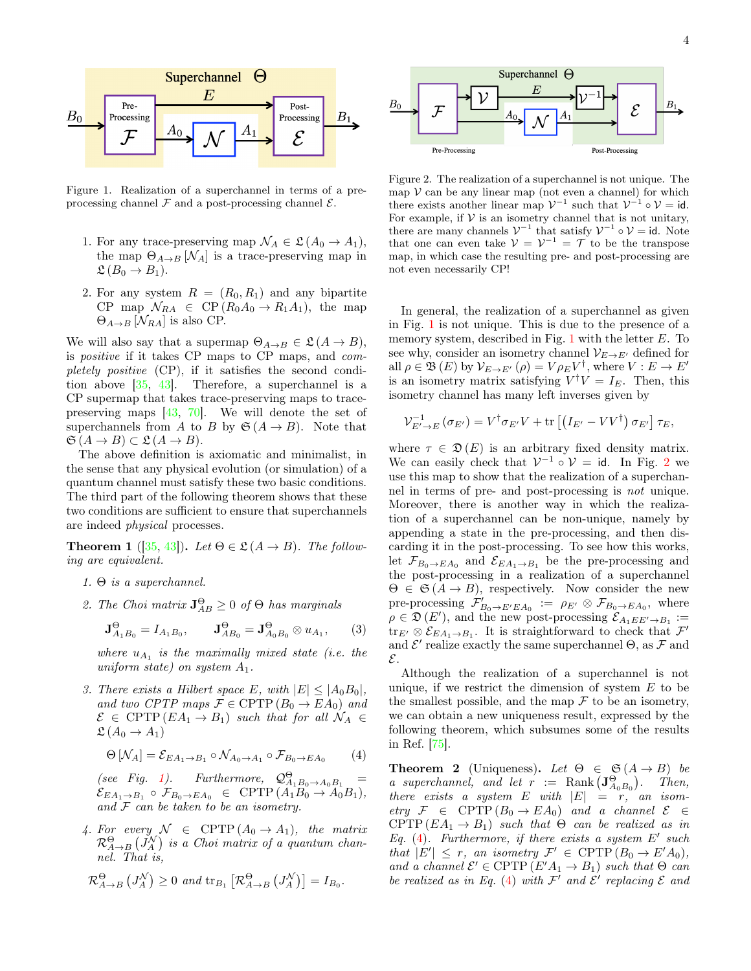

<span id="page-3-1"></span>Figure 1. Realization of a superchannel in terms of a preprocessing channel  $\mathcal F$  and a post-processing channel  $\mathcal E$ .

- 1. For any trace-preserving map  $\mathcal{N}_A \in \mathfrak{L}(\mathcal{A}_0 \to \mathcal{A}_1),$ the map  $\Theta_{A\rightarrow B}$  [ $\mathcal{N}_A$ ] is a trace-preserving map in  $\mathfrak{L}(B_0 \to B_1).$
- 2. For any system  $R = (R_0, R_1)$  and any bipartite CP map  $\mathcal{N}_{RA} \in CP(R_0A_0 \rightarrow R_1A_1)$ , the map  $\Theta_{A\rightarrow B}$  [ $\mathcal{N}_{RA}$ ] is also CP.

We will also say that a supermap  $\Theta_{A\to B} \in \mathfrak{L}(A \to B)$ , is positive if it takes CP maps to CP maps, and completely positive (CP), if it satisfies the second condition above [\[35,](#page-11-19) [43\]](#page-12-6). Therefore, a superchannel is a CP supermap that takes trace-preserving maps to tracepreserving maps [\[43,](#page-12-6) [70\]](#page-12-8). We will denote the set of superchannels from A to B by  $\mathfrak{S}(A \rightarrow B)$ . Note that  $\mathfrak{S} (A \to B) \subset \mathfrak{L} (A \to B).$ 

The above definition is axiomatic and minimalist, in the sense that any physical evolution (or simulation) of a quantum channel must satisfy these two basic conditions. The third part of the following theorem shows that these two conditions are sufficient to ensure that superchannels are indeed physical processes.

<span id="page-3-4"></span>**Theorem 1** ([\[35,](#page-11-19) [43\]](#page-12-6)). Let  $\Theta \in \mathfrak{L}(A \rightarrow B)$ . The following are equivalent.

- 1.  $\Theta$  is a superchannel.
- 2. The Choi matrix  $\mathbf{J}_{AB}^{\Theta} \geq 0$  of  $\Theta$  has marginals

<span id="page-3-5"></span>
$$
\mathbf{J}_{A_1B_0}^{\Theta} = I_{A_1B_0}, \qquad \mathbf{J}_{AB_0}^{\Theta} = \mathbf{J}_{A_0B_0}^{\Theta} \otimes u_{A_1}, \qquad (3)
$$

where  $u_{A_1}$  is the maximally mixed state (i.e. the uniform state) on system  $A_1$ .

3. There exists a Hilbert space E, with  $|E| \leq |A_0 B_0|$ , and two CPTP maps  $\mathcal{F} \in \text{CPTP}(B_0 \to EA_0)$  and  $\mathcal{E} \in \text{CPTP}(EA_1 \to B_1)$  such that for all  $\mathcal{N}_A \in$  $\mathfrak{L}(A_0 \to A_1)$ 

<span id="page-3-3"></span>
$$
\Theta\left[\mathcal{N}_A\right] = \mathcal{E}_{EA_1 \to B_1} \circ \mathcal{N}_{A_0 \to A_1} \circ \mathcal{F}_{B_0 \to EA_0} \tag{4}
$$

(see Fig. [1\)](#page-3-1). Furthermore,  $\mathcal{Q}_{A_1B_0\rightarrow A_0B_1}^{\Theta}$  =  $\mathcal{E}_{EA_1\rightarrow B_1} \circ \mathcal{F}_{B_0\rightarrow EA_0} \in \text{CPTP}(A_1B_0 \rightarrow A_0B_1),$ and  $F$  can be taken to be an isometry.

4. For every  $\mathcal{N} \in \text{CPTP}(A_0 \to A_1)$ , the matrix  $\mathcal{R}_{A\rightarrow B}^{\Theta}\left( J_{A}^{\mathcal{N}}\right)$  is a Choi matrix of a quantum channel. That is,

$$
\mathcal{R}_{A\to B}^{\Theta} (J_A^{\mathcal{N}}) \geq 0
$$
 and  $\text{tr}_{B_1} [\mathcal{R}_{A\to B}^{\Theta} (J_A^{\mathcal{N}})] = I_{B_0}.$ 



<span id="page-3-2"></span>Figure 2. The realization of a superchannel is not unique. The map  $V$  can be any linear map (not even a channel) for which there exists another linear map  $\mathcal{V}^{-1}$  such that  $\mathcal{V}^{-1} \circ \mathcal{V} = id$ . For example, if  $V$  is an isometry channel that is not unitary, there are many channels  $\mathcal{V}^{-1}$  that satisfy  $\mathcal{V}^{-1} \circ \mathcal{V} = id$ . Note that one can even take  $V = V^{-1} = T$  to be the transpose map, in which case the resulting pre- and post-processing are not even necessarily CP!

In general, the realization of a superchannel as given in Fig. [1](#page-3-1) is not unique. This is due to the presence of a memory system, described in Fig. [1](#page-3-1) with the letter  $E$ . To see why, consider an isometry channel  $\mathcal{V}_{E\rightarrow E'}$  defined for all  $\rho \in \mathfrak{B}(E)$  by  $\mathcal{V}_{E \to E'}(\rho) = V \rho_E V^{\dagger}$ , where  $V : E \to E'$ is an isometry matrix satisfying  $V^{\dagger}V = I_E$ . Then, this isometry channel has many left inverses given by

$$
\mathcal{V}_{E'\to E}^{-1}\left(\sigma_{E'}\right) = V^{\dagger} \sigma_{E'} V + \text{tr}\left[\left(I_{E'} - VV^{\dagger}\right) \sigma_{E'}\right] \tau_E,
$$

where  $\tau \in \mathfrak{D}(E)$  is an arbitrary fixed density matrix. We can easily check that  $\mathcal{V}^{-1} \circ \mathcal{V} = id$ . In Fig. [2](#page-3-2) we use this map to show that the realization of a superchannel in terms of pre- and post-processing is not unique. Moreover, there is another way in which the realization of a superchannel can be non-unique, namely by appending a state in the pre-processing, and then discarding it in the post-processing. To see how this works, let  $\mathcal{F}_{B_0 \to EA_0}$  and  $\mathcal{E}_{EA_1 \to B_1}$  be the pre-processing and the post-processing in a realization of a superchannel  $\Theta \in \mathfrak{S}(A \rightarrow B)$ , respectively. Now consider the new pre-processing  $\mathcal{F}'_{B_0 \to E' E A_0} := \rho_{E'} \otimes \mathcal{F}_{B_0 \to E A_0}$ , where  $\rho \in \mathfrak{D}(E')$ , and the new post-processing  $\mathcal{E}_{A_1 E E' \to B_1}$ :=  $\text{tr}_{E'} \otimes \mathcal{E}_{EA_1 \to B_1}$ . It is straightforward to check that  $\mathcal{F}'$ and  $\mathcal{E}'$  realize exactly the same superchannel  $\Theta$ , as  $\mathcal F$  and E.

Although the realization of a superchannel is not unique, if we restrict the dimension of system  $E$  to be the smallest possible, and the map  $\mathcal F$  to be an isometry, we can obtain a new uniqueness result, expressed by the following theorem, which subsumes some of the results in Ref. [\[75\]](#page-12-16).

<span id="page-3-0"></span>**Theorem 2** (Uniqueness). Let  $\Theta \in \mathfrak{S}(A \rightarrow B)$  be a superchannel, and let  $r := \text{Rank}(\mathbf{J}_{A_0B_0}^{\Theta})$ . Then, there exists a system E with  $|E| = r$ , an isometry  $\mathcal{F} \in \text{CPTP}(B_0 \to EA_0)$  and a channel  $\mathcal{E} \in$ CPTP  $(EA_1 \rightarrow B_1)$  such that  $\Theta$  can be realized as in Eq. [\(4\)](#page-3-3). Furthermore, if there exists a system  $E'$  such that  $|E'| \leq r$ , an isometry  $\mathcal{F}' \in \text{CPTP}(B_0 \to E'A_0)$ , and a channel  $\mathcal{E}' \in \text{CPTP}(E'A_1 \to B_1)$  such that  $\Theta$  can be realized as in Eq. [\(4\)](#page-3-3) with  $\mathcal{F}'$  and  $\mathcal{E}'$  replacing  $\mathcal E$  and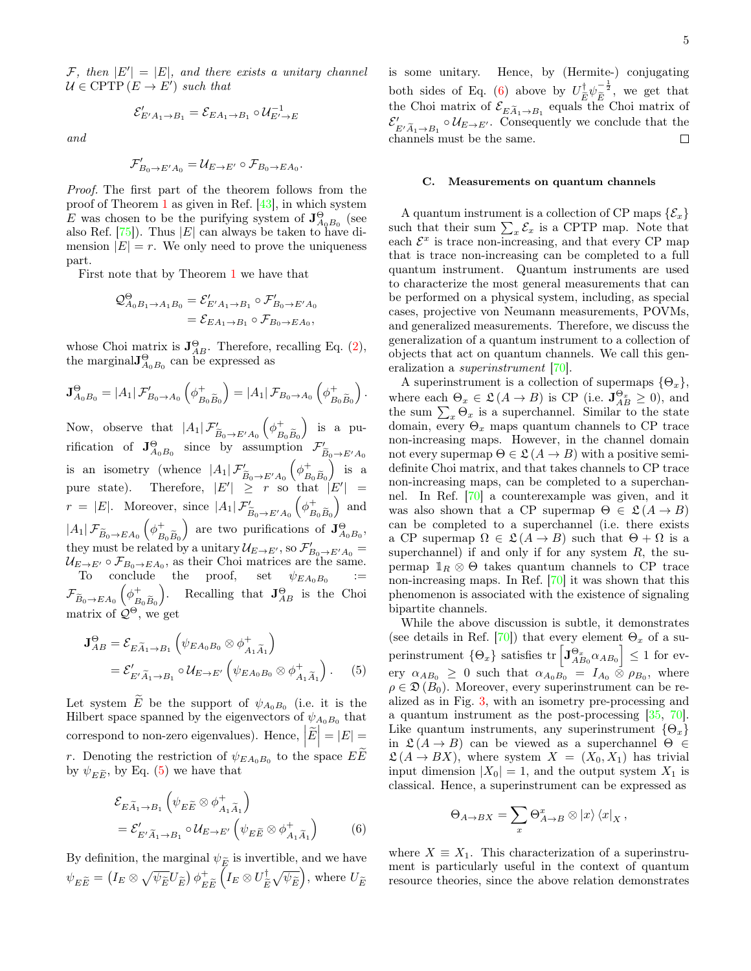$\mathcal{F},$  then  $|E'| = |E|$ , and there exists a unitary channel  $\mathcal{U} \in \mathrm{CPTP} (E \to E')$  such that

$$
\mathcal{E}'_{E'A_1 \to B_1} = \mathcal{E}_{EA_1 \to B_1} \circ \mathcal{U}_{E' \to E}^{-1}
$$

and

$$
\mathcal{F}'_{B_0\to E'A_0}=\mathcal{U}_{E\to E'}\circ \mathcal{F}_{B_0\to EA_0}.
$$

Proof. The first part of the theorem follows from the proof of Theorem [1](#page-3-4) as given in Ref. [\[43\]](#page-12-6), in which system E was chosen to be the purifying system of  $\mathbf{J}_{A_0B_0}^{\Theta}$  (see also Ref.  $[75]$ . Thus  $|E|$  can always be taken to have dimension  $|E| = r$ . We only need to prove the uniqueness part.

First note that by Theorem [1](#page-3-4) we have that

$$
\begin{aligned} \mathcal{Q}_{A_0B_1\to A_1B_0}^{\Theta} &= \mathcal{E}_{E'A_1\to B_1}^{\prime}\circ \mathcal{F}_{B_0\to E'A_0}^{\prime} \\ &= \mathcal{E}_{EA_1\to B_1}\circ \mathcal{F}_{B_0\to EA_0}, \end{aligned}
$$

whose Choi matrix is  $J_{AB}^{\Theta}$ . Therefore, recalling Eq. [\(2\)](#page-2-1), the marginal  $J_{A_0B_0}^{\Theta}$  can be expressed as

$$
\mathbf{J}_{A_0B_0}^{\Theta} = |A_1|\mathcal{F}_{B_0\to A_0}'\left(\phi_{B_0\widetilde{B}_0}^+\right) = |A_1|\mathcal{F}_{B_0\to A_0}\left(\phi_{B_0\widetilde{B}_0}^+\right).
$$

Now, observe that  $|A_1| \mathcal{F}'_{\widetilde{B}_0 \to E'A_0}$  $(\phi^+_p)$  $B_0B_0$  is a purification of  $\mathbf{J}_{A_0B_0}^{\Theta}$  since by assumption  $\mathcal{F}'_{\widetilde{B}_0\to E'A_0}$ is an isometry (whence  $|A_1| \mathcal{F}'_{\widetilde{B}_0 \to E'A_0}$  $(\phi_{\scriptscriptstyle P}^+)$  $B_0B_0$  $\Big)$  is a pure state). Therefore,  $|E'| \geq r$  so that  $|E'| =$  $r = |E|$ . Moreover, since  $|A_1| \mathcal{F}'_{\widetilde{B}_0 \to E'A_0}$  $(\phi_{\rm p}^+)$  $B_0B_0$ ) and  $|A_1|\mathcal{F}_{\widetilde{B}_0\rightarrow EA_0}\left(\phi_B^+\right)$  $B_0B_0$ ) are two purifications of  $\mathbf{J}_{A_0B_0}^{\Theta}$ , they must be related by a unitary  $\mathcal{U}_{E\rightarrow E'},$  so  $\mathcal{F}'_{B_0\rightarrow E'A_0}$  =  $\mathcal{U}_{E\rightarrow E'} \circ \mathcal{F}_{B_0\rightarrow EA_0}$ , as their Choi matrices are the same. To conclude the proof, set  $\psi_{EA_0B_0}$ :=  $\mathcal{F}_{\widetilde{B}_0 \rightarrow EA_0} \left( \phi_B^+ \right)$  $B_0B_0$ ). Recalling that  $J_{AB}^{\Theta}$  is the Choi matrix of  $\mathcal{Q}^{\Theta}$ , we get

$$
\mathbf{J}_{AB}^{\Theta} = \mathcal{E}_{E\widetilde{A}_1 \to B_1} \left( \psi_{EA_0B_0} \otimes \phi_{A_1\widetilde{A}_1}^+ \right)
$$
  
=  $\mathcal{E}'_{E'\widetilde{A}_1 \to B_1} \circ \mathcal{U}_{E \to E'} \left( \psi_{EA_0B_0} \otimes \phi_{A_1\widetilde{A}_1}^+ \right).$  (5)

Let system E be the support of  $\psi_{A_0B_0}$  (i.e. it is the Hilbert space spanned by the eigenvectors of  $\psi_{A_0B_0}$  that correspond to non-zero eigenvalues). Hence,  $\left| \widetilde{E} \right| = \left| E \right| = \frac{1}{\infty}$ r. Denoting the restriction of  $\psi_{EA_0B_0}$  to the space  $EE$ by  $\psi_{E\widetilde{E}}$ , by Eq. [\(5\)](#page-4-0) we have that

$$
\mathcal{E}_{E\widetilde{A}_1 \to B_1} \left( \psi_{E\widetilde{E}} \otimes \phi^+_{A_1 \widetilde{A}_1} \right)
$$
  
=  $\mathcal{E}'_{E'\widetilde{A}_1 \to B_1} \circ \mathcal{U}_{E \to E'} \left( \psi_{E\widetilde{E}} \otimes \phi^+_{A_1 \widetilde{A}_1} \right)$  (6)

By definition, the marginal  $\psi_{\widetilde{E}}$  is invertible, and we have  $\psi_{E\widetilde{E}} = (I_E \otimes \sqrt{\psi_{\widetilde{E}}} U_{\widetilde{E}}) \phi_{E}^+$  $EE$  $\Big(I_E\otimes U_{\widehat{\tilde e}}^\dagger$  $(\frac{\partial}{\partial \tilde{E}})$ , where  $U_{\widetilde{E}}$ 

is some unitary. Hence, by (Hermite-) conjugating both sides of Eq. [\(6\)](#page-4-1) above by  $U_{\tilde{E}}^{\dagger} \psi_{\tilde{E}}^{-\frac{1}{2}}$ , we get that the Choi matrix of  $\mathcal{E}_{E\widetilde{A}_1\rightarrow B_1}$  equals the Choi matrix of  $\mathcal{E}'_{E' \tilde{A}_1 \to B_1} \circ \mathcal{U}_{E \to E'}$ . Consequently we conclude that the channels must be the same.  $\Box$ 

# C. Measurements on quantum channels

A quantum instrument is a collection of CP maps  $\{\mathcal{E}_r\}$ such that their sum  $\sum_{x} \mathcal{E}_x$  is a CPTP map. Note that each  $\mathcal{E}^x$  is trace non-increasing, and that every CP map that is trace non-increasing can be completed to a full quantum instrument. Quantum instruments are used to characterize the most general measurements that can be performed on a physical system, including, as special cases, projective von Neumann measurements, POVMs, and generalized measurements. Therefore, we discuss the generalization of a quantum instrument to a collection of objects that act on quantum channels. We call this generalization a *superinstrument* [\[70\]](#page-12-8).

A superinstrument is a collection of supermaps  $\{\Theta_x\},\$ where each  $\Theta_x \in \mathfrak{L}(A \to B)$  is CP (i.e.  $\mathbf{J}_{AB}^{\Theta_x} \geq 0$ ), and the sum  $\sum_{x} \Theta_x$  is a superchannel. Similar to the state domain, every  $\Theta_x$  maps quantum channels to CP trace non-increasing maps. However, in the channel domain not every supermap  $\Theta \in \mathfrak{L}(A \to B)$  with a positive semidefinite Choi matrix, and that takes channels to CP trace non-increasing maps, can be completed to a superchannel. In Ref. [\[70\]](#page-12-8) a counterexample was given, and it was also shown that a CP supermap  $\Theta \in \mathfrak{L}(A \to B)$ can be completed to a superchannel (i.e. there exists a CP supermap  $\Omega \in \mathfrak{L}(A \to B)$  such that  $\Theta + \Omega$  is a superchannel) if and only if for any system  $R$ , the supermap  $\mathbb{1}_R \otimes \Theta$  takes quantum channels to CP trace non-increasing maps. In Ref. [\[70\]](#page-12-8) it was shown that this phenomenon is associated with the existence of signaling bipartite channels.

<span id="page-4-0"></span>While the above discussion is subtle, it demonstrates (see details in Ref. [\[70\]](#page-12-8)) that every element  $\Theta_x$  of a superinstrument  $\{\Theta_x\}$  satisfies tr  $\left[\mathbf{J}_{AB_0}^{\Theta_x} \alpha_{AB_0}\right] \leq 1$  for every  $\alpha_{AB_0} \geq 0$  such that  $\alpha_{A_0B_0} = I_{A_0} \otimes \rho_{B_0}$ , where  $\rho \in \mathfrak{D}(B_0)$ . Moreover, every superinstrument can be realized as in Fig. [3,](#page-5-0) with an isometry pre-processing and a quantum instrument as the post-processing [\[35,](#page-11-19) [70\]](#page-12-8). Like quantum instruments, any superinstrument  $\{\Theta_x\}$ in  $\mathfrak{L}(A \to B)$  can be viewed as a superchannel  $\Theta \in$  $\mathfrak{L}(A \to BX)$ , where system  $X = (X_0, X_1)$  has trivial input dimension  $|X_0| = 1$ , and the output system  $X_1$  is classical. Hence, a superinstrument can be expressed as

$$
\Theta_{A\to BX} = \sum_{x} \Theta_{A\to B}^{x} \otimes \ket{x}\bra{x}_{X},
$$

<span id="page-4-1"></span>where  $X \equiv X_1$ . This characterization of a superinstrument is particularly useful in the context of quantum resource theories, since the above relation demonstrates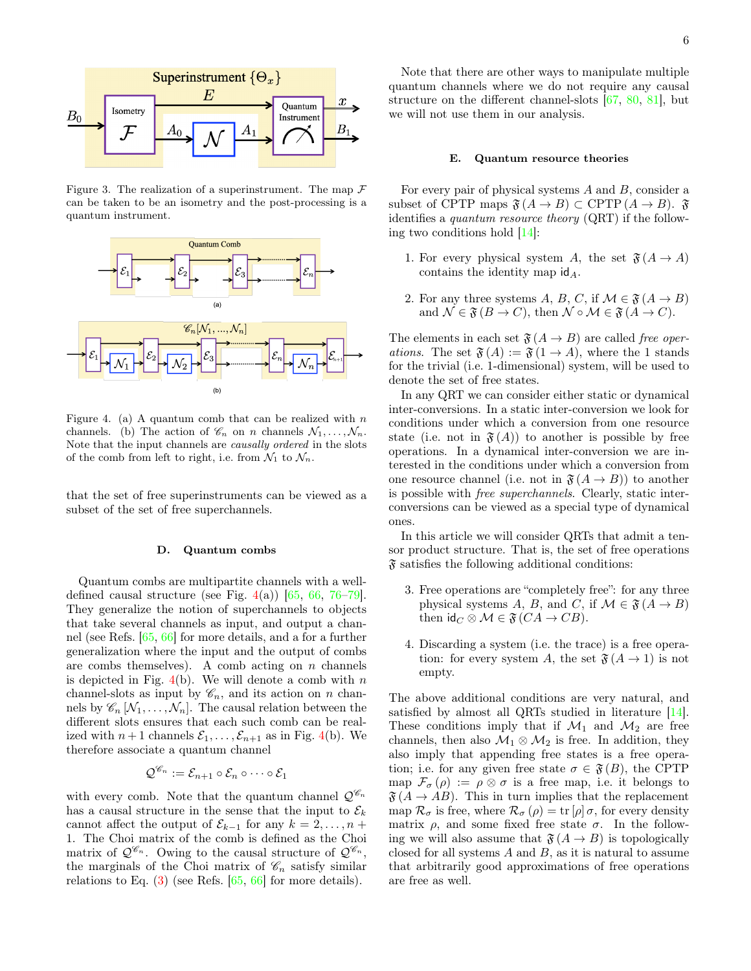

<span id="page-5-0"></span>Figure 3. The realization of a superinstrument. The map  $\mathcal F$ can be taken to be an isometry and the post-processing is a quantum instrument.



<span id="page-5-1"></span>Figure 4. (a) A quantum comb that can be realized with  $n$ channels. (b) The action of  $\mathscr{C}_n$  on n channels  $\mathcal{N}_1, \ldots, \mathcal{N}_n$ . Note that the input channels are causally ordered in the slots of the comb from left to right, i.e. from  $\mathcal{N}_1$  to  $\mathcal{N}_n$ .

that the set of free superinstruments can be viewed as a subset of the set of free superchannels.

### D. Quantum combs

Quantum combs are multipartite channels with a welldefined causal structure (see Fig.  $4(a)$  $4(a)$ ) [\[65,](#page-12-5) [66,](#page-12-7) [76–](#page-12-17)[79\]](#page-12-18). They generalize the notion of superchannels to objects that take several channels as input, and output a channel (see Refs. [\[65,](#page-12-5) [66\]](#page-12-7) for more details, and a for a further generalization where the input and the output of combs are combs themselves). A comb acting on  $n$  channels is depicted in Fig.  $4(b)$  $4(b)$ . We will denote a comb with n channel-slots as input by  $\mathscr{C}_n$ , and its action on n channels by  $\mathscr{C}_n \left[ \mathcal{N}_1, \ldots, \mathcal{N}_n \right]$ . The causal relation between the different slots ensures that each such comb can be realized with  $n+1$  channels  $\mathcal{E}_1, \ldots, \mathcal{E}_{n+1}$  as in Fig. [4\(](#page-5-1)b). We therefore associate a quantum channel

$$
\mathcal{Q}^{\mathscr{C}_n} := \mathcal{E}_{n+1} \circ \mathcal{E}_n \circ \cdots \circ \mathcal{E}_1
$$

with every comb. Note that the quantum channel  $\mathcal{Q}^{\mathscr{C}_n}$ has a causal structure in the sense that the input to  $\mathcal{E}_k$ cannot affect the output of  $\mathcal{E}_{k-1}$  for any  $k = 2, \ldots, n + 1$ 1. The Choi matrix of the comb is defined as the Choi matrix of  $\mathcal{Q}^{\mathscr{C}_n}$ . Owing to the causal structure of  $\mathcal{Q}^{\mathscr{C}_n}$ , the marginals of the Choi matrix of  $\mathscr{C}_n$  satisfy similar relations to Eq. [\(3\)](#page-3-5) (see Refs. [\[65,](#page-12-5) [66\]](#page-12-7) for more details).

Note that there are other ways to manipulate multiple quantum channels where we do not require any causal structure on the different channel-slots [\[67,](#page-12-19) [80,](#page-12-20) [81\]](#page-12-21), but we will not use them in our analysis.

#### E. Quantum resource theories

For every pair of physical systems A and B, consider a subset of CPTP maps  $\mathfrak{F}(A \to B) \subset \text{CPTP}(A \to B)$ .  $\mathfrak{F}$ identifies a quantum resource theory (QRT) if the following two conditions hold [\[14\]](#page-11-8):

- 1. For every physical system A, the set  $\mathfrak{F}(A \rightarrow A)$ contains the identity map  $\mathsf{id}_A$ .
- 2. For any three systems A, B, C, if  $\mathcal{M} \in \mathfrak{F}(A \to B)$ and  $\mathcal{N} \in \mathfrak{F} (B \to C)$ , then  $\mathcal{N} \circ \mathcal{M} \in \mathfrak{F} (A \to C)$ .

The elements in each set  $\mathfrak{F}(A \to B)$  are called free operations. The set  $\mathfrak{F}(A) := \mathfrak{F}(1 \to A)$ , where the 1 stands for the trivial (i.e. 1-dimensional) system, will be used to denote the set of free states.

In any QRT we can consider either static or dynamical inter-conversions. In a static inter-conversion we look for conditions under which a conversion from one resource state (i.e. not in  $\mathfrak{F}(A)$ ) to another is possible by free operations. In a dynamical inter-conversion we are interested in the conditions under which a conversion from one resource channel (i.e. not in  $\mathfrak{F}(A \to B)$ ) to another is possible with free superchannels. Clearly, static interconversions can be viewed as a special type of dynamical ones.

In this article we will consider QRTs that admit a tensor product structure. That is, the set of free operations  $\mathfrak F$  satisfies the following additional conditions:

- 3. Free operations are "completely free": for any three physical systems A, B, and C, if  $\mathcal{M} \in \mathfrak{F}(A \to B)$ then  $\mathsf{id}_C \otimes \mathcal{M} \in \mathfrak{F}(CA \to CB).$
- 4. Discarding a system (i.e. the trace) is a free operation: for every system A, the set  $\mathfrak{F}(A \to 1)$  is not empty.

The above additional conditions are very natural, and satisfied by almost all QRTs studied in literature [\[14\]](#page-11-8). These conditions imply that if  $\mathcal{M}_1$  and  $\mathcal{M}_2$  are free channels, then also  $\mathcal{M}_1 \otimes \mathcal{M}_2$  is free. In addition, they also imply that appending free states is a free operation; i.e. for any given free state  $\sigma \in \mathfrak{F}(B)$ , the CPTP map  $\mathcal{F}_{\sigma}(\rho) := \rho \otimes \sigma$  is a free map, i.e. it belongs to  $\mathfrak{F}(A \to AB)$ . This in turn implies that the replacement map  $\mathcal{R}_{\sigma}$  is free, where  $\mathcal{R}_{\sigma}(\rho) = \text{tr}[\rho] \sigma$ , for every density matrix  $\rho$ , and some fixed free state  $\sigma$ . In the following we will also assume that  $\mathfrak{F}(A \to B)$  is topologically closed for all systems  $A$  and  $B$ , as it is natural to assume that arbitrarily good approximations of free operations are free as well.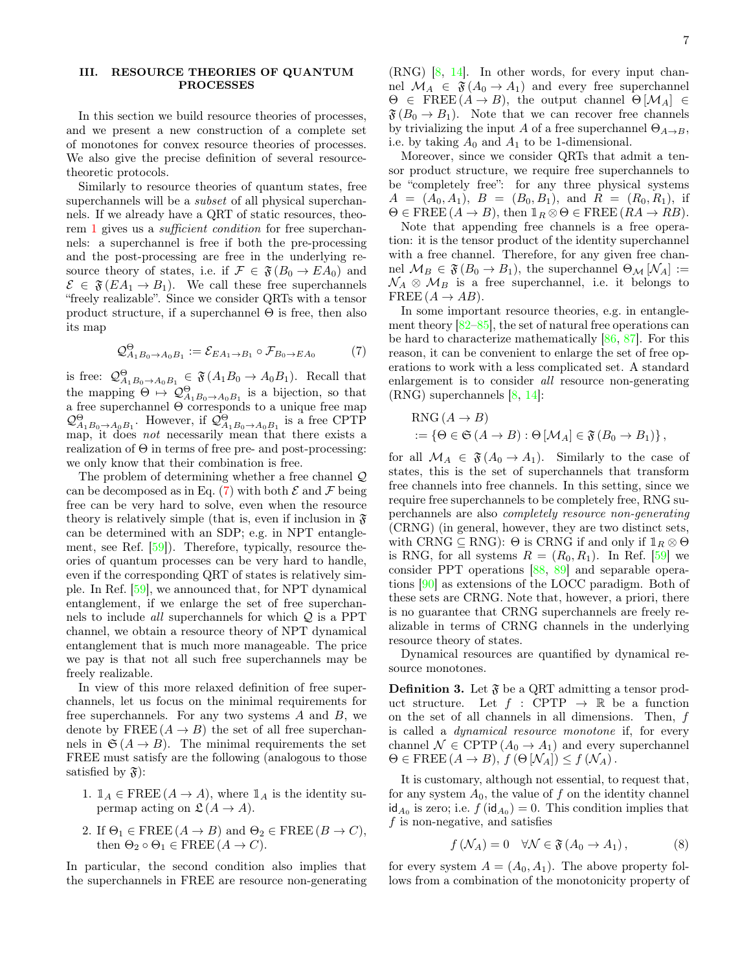## <span id="page-6-0"></span>III. RESOURCE THEORIES OF QUANTUM PROCESSES

In this section we build resource theories of processes, and we present a new construction of a complete set of monotones for convex resource theories of processes. We also give the precise definition of several resourcetheoretic protocols.

Similarly to resource theories of quantum states, free superchannels will be a *subset* of all physical superchannels. If we already have a QRT of static resources, theorem [1](#page-3-4) gives us a sufficient condition for free superchannels: a superchannel is free if both the pre-processing and the post-processing are free in the underlying resource theory of states, i.e. if  $\mathcal{F} \in \mathfrak{F}(B_0 \to EA_0)$  and  $\mathcal{E} \in \mathfrak{F}(EA_1 \to B_1)$ . We call these free superchannels "freely realizable". Since we consider QRTs with a tensor product structure, if a superchannel  $\Theta$  is free, then also its map

<span id="page-6-1"></span>
$$
\mathcal{Q}_{A_1B_0\to A_0B_1}^{\Theta} := \mathcal{E}_{EA_1\to B_1} \circ \mathcal{F}_{B_0\to EA_0} \tag{7}
$$

is free:  $\mathcal{Q}_{A_1B_0\to A_0B_1}^{\Theta} \in \mathfrak{F}(A_1B_0 \to A_0B_1)$ . Recall that the mapping  $\Theta \mapsto \mathcal{Q}_{A_1B_0 \to A_0B_1}^{\Theta}$  is a bijection, so that a free superchannel Θ corresponds to a unique free map  $\mathcal{Q}_{A_1B_0\to A_0B_1}^{\Theta}$ . However, if  $\mathcal{Q}_{A_1B_0\to A_0B_1}^{\Theta}$  is a free CPTP map, it does *not* necessarily mean that there exists a realization of  $\Theta$  in terms of free pre- and post-processing: we only know that their combination is free.

The problem of determining whether a free channel Q can be decomposed as in Eq. [\(7\)](#page-6-1) with both  $\mathcal E$  and  $\mathcal F$  being free can be very hard to solve, even when the resource theory is relatively simple (that is, even if inclusion in  $\mathfrak{F}$ can be determined with an SDP; e.g. in NPT entanglement, see Ref. [\[59\]](#page-12-9)). Therefore, typically, resource theories of quantum processes can be very hard to handle, even if the corresponding QRT of states is relatively simple. In Ref. [\[59\]](#page-12-9), we announced that, for NPT dynamical entanglement, if we enlarge the set of free superchannels to include *all* superchannels for which  $Q$  is a PPT channel, we obtain a resource theory of NPT dynamical entanglement that is much more manageable. The price we pay is that not all such free superchannels may be freely realizable.

In view of this more relaxed definition of free superchannels, let us focus on the minimal requirements for free superchannels. For any two systems  $A$  and  $B$ , we denote by FREE  $(A \rightarrow B)$  the set of all free superchannels in  $\mathfrak{S}(A \to B)$ . The minimal requirements the set FREE must satisfy are the following (analogous to those satisfied by  $\mathfrak{F}$ :

- 1.  $\mathbb{1}_A \in \text{FREE}(A \to A)$ , where  $\mathbb{1}_A$  is the identity supermap acting on  $\mathfrak{L}(A \to A)$ .
- 2. If  $\Theta_1 \in \text{FREE}(A \to B)$  and  $\Theta_2 \in \text{FREE}(B \to C)$ , then  $\Theta_2 \circ \Theta_1 \in \text{FREE}(A \to C)$ .

In particular, the second condition also implies that the superchannels in FREE are resource non-generating

(RNG) [\[8,](#page-11-11) [14\]](#page-11-8). In other words, for every input channel  $\mathcal{M}_A \in \mathfrak{F}(A_0 \to A_1)$  and every free superchannel  $\Theta \in \text{FREE}(A \to B)$ , the output channel  $\Theta[\mathcal{M}_A] \in$  $\mathfrak{F}(B_0 \to B_1)$ . Note that we can recover free channels by trivializing the input A of a free superchannel  $\Theta_{A\rightarrow B}$ , i.e. by taking  $A_0$  and  $A_1$  to be 1-dimensional.

Moreover, since we consider QRTs that admit a tensor product structure, we require free superchannels to be "completely free": for any three physical systems  $A = (A_0, A_1), B = (B_0, B_1), \text{ and } R = (R_0, R_1), \text{ if }$  $\Theta \in \text{FREE}(A \to B)$ , then  $\mathbb{1}_R \otimes \Theta \in \text{FREE}(RA \to RB)$ .

Note that appending free channels is a free operation: it is the tensor product of the identity superchannel with a free channel. Therefore, for any given free channel  $\mathcal{M}_B \in \mathfrak{F}(B_0 \to B_1)$ , the superchannel  $\Theta_{\mathcal{M}}[\mathcal{N}_A] :=$  $\mathcal{N}_A \otimes \mathcal{M}_B$  is a free superchannel, i.e. it belongs to FREE  $(A \rightarrow AB)$ .

In some important resource theories, e.g. in entanglement theory [\[82–](#page-12-22)[85\]](#page-12-23), the set of natural free operations can be hard to characterize mathematically [\[86,](#page-12-24) [87\]](#page-12-25). For this reason, it can be convenient to enlarge the set of free operations to work with a less complicated set. A standard enlargement is to consider all resource non-generating (RNG) superchannels [\[8,](#page-11-11) [14\]](#page-11-8):

$$
RNG (A \to B)
$$
  
 := { $\Theta \in \mathfrak{S} (A \to B)$  :  $\Theta [\mathcal{M}_A] \in \mathfrak{F} (B_0 \to B_1)$ },

for all  $\mathcal{M}_A \in \mathfrak{F}(A_0 \to A_1)$ . Similarly to the case of states, this is the set of superchannels that transform free channels into free channels. In this setting, since we require free superchannels to be completely free, RNG superchannels are also completely resource non-generating (CRNG) (in general, however, they are two distinct sets, with CRNG  $\subseteq$  RNG):  $\Theta$  is CRNG if and only if  $\mathbb{1}_R \otimes \Theta$ is RNG, for all systems  $R = (R_0, R_1)$ . In Ref. [\[59\]](#page-12-9) we consider PPT operations [\[88,](#page-12-26) [89\]](#page-12-27) and separable operations [\[90\]](#page-12-28) as extensions of the LOCC paradigm. Both of these sets are CRNG. Note that, however, a priori, there is no guarantee that CRNG superchannels are freely realizable in terms of CRNG channels in the underlying resource theory of states.

Dynamical resources are quantified by dynamical resource monotones.

**Definition 3.** Let  $\mathfrak{F}$  be a QRT admitting a tensor product structure. Let  $f : CPTP \rightarrow \mathbb{R}$  be a function on the set of all channels in all dimensions. Then, f is called a dynamical resource monotone if, for every channel  $\mathcal{N} \in \text{CPTP}(A_0 \to A_1)$  and every superchannel  $\Theta \in \text{FREE}(A \to B), f(\Theta \vert \mathcal{N}_A]) \leq f(\mathcal{N}_A).$ 

It is customary, although not essential, to request that, for any system  $A_0$ , the value of  $f$  on the identity channel  $\mathsf{id}_{A_0}$  is zero; i.e.  $f(\mathsf{id}_{A_0}) = 0$ . This condition implies that  $f$  is non-negative, and satisfies

<span id="page-6-2"></span>
$$
f\left(\mathcal{N}_A\right) = 0 \quad \forall \mathcal{N} \in \mathfrak{F}\left(A_0 \to A_1\right),\tag{8}
$$

for every system  $A = (A_0, A_1)$ . The above property follows from a combination of the monotonicity property of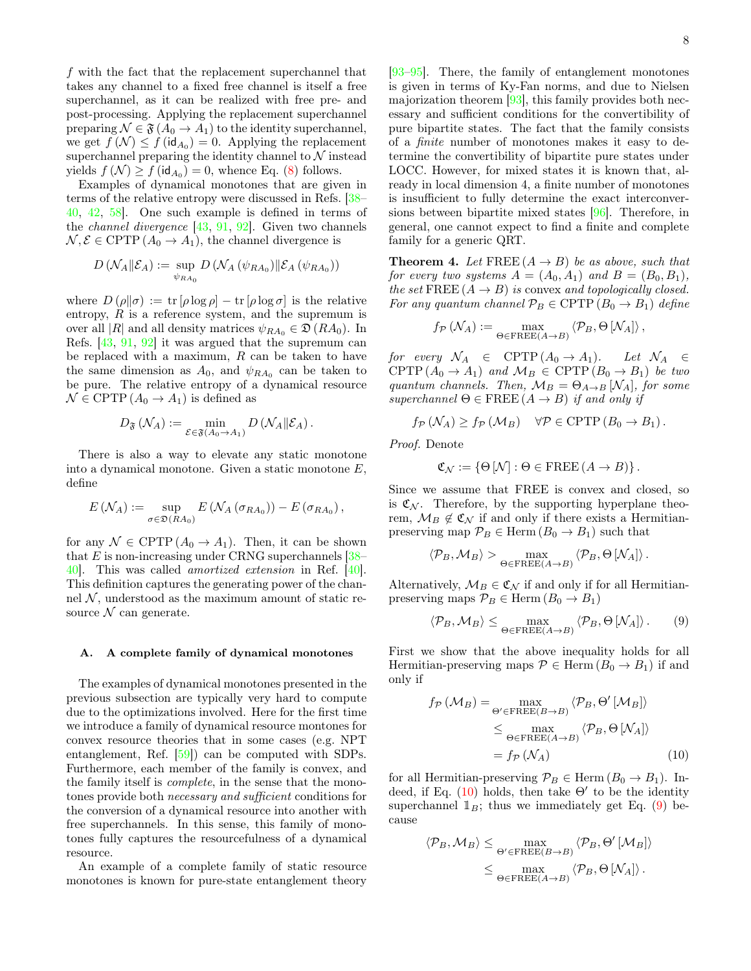f with the fact that the replacement superchannel that takes any channel to a fixed free channel is itself a free superchannel, as it can be realized with free pre- and post-processing. Applying the replacement superchannel preparing  $\mathcal{N} \in \mathfrak{F}(A_0 \to A_1)$  to the identity superchannel, we get  $f(\mathcal{N}) \leq f(\mathsf{id}_{A_0}) = 0$ . Applying the replacement superchannel preparing the identity channel to  $\mathcal N$  instead yields  $f(\mathcal{N}) \ge f(\mathrm{id}_{A_0}) = 0$ , whence Eq. [\(8\)](#page-6-2) follows.

Examples of dynamical monotones that are given in terms of the relative entropy were discussed in Refs. [\[38–](#page-12-0) [40,](#page-12-1) [42,](#page-12-10) [58\]](#page-12-12). One such example is defined in terms of the *channel divergence*  $[43, 91, 92]$  $[43, 91, 92]$  $[43, 91, 92]$  $[43, 91, 92]$  $[43, 91, 92]$ . Given two channels  $\mathcal{N}, \mathcal{E} \in \text{CPTP}(A_0 \to A_1)$ , the channel divergence is

$$
D\left(\mathcal{N}_A \|\mathcal{E}_A\right) := \sup_{\psi_{RA_0}} D\left(\mathcal{N}_A\left(\psi_{RA_0}\right) \|\mathcal{E}_A\left(\psi_{RA_0}\right)\right)
$$

where  $D(\rho||\sigma) := \text{tr}[\rho \log \rho] - \text{tr}[\rho \log \sigma]$  is the relative entropy,  $R$  is a reference system, and the supremum is over all |R| and all density matrices  $\psi_{RA_0} \in \mathfrak{D}(RA_0)$ . In Refs. [\[43,](#page-12-6) [91,](#page-12-29) [92\]](#page-12-30) it was argued that the supremum can be replaced with a maximum,  $R$  can be taken to have the same dimension as  $A_0$ , and  $\psi_{RA_0}$  can be taken to be pure. The relative entropy of a dynamical resource  $\mathcal{N} \in \mathrm{CPTP}\,(A_0 \to A_1)$  is defined as

$$
D_{\mathfrak{F}}\left(\mathcal{N}_A\right) := \min_{\mathcal{E} \in \mathfrak{F}(A_0 \to A_1)} D\left(\mathcal{N}_A \|\mathcal{E}_A\right).
$$

There is also a way to elevate any static monotone into a dynamical monotone. Given a static monotone E, define

$$
E(\mathcal{N}_A) := \sup_{\sigma \in \mathfrak{D}(RA_0)} E(\mathcal{N}_A(\sigma_{RA_0})) - E(\sigma_{RA_0}),
$$

for any  $\mathcal{N} \in \text{CPTP}(A_0 \to A_1)$ . Then, it can be shown that  $E$  is non-increasing under CRNG superchannels  $[38-$ [40\]](#page-12-1). This was called amortized extension in Ref. [\[40\]](#page-12-1). This definition captures the generating power of the channel  $N$ , understood as the maximum amount of static resource  $N$  can generate.

### <span id="page-7-3"></span>A. A complete family of dynamical monotones

The examples of dynamical monotones presented in the previous subsection are typically very hard to compute due to the optimizations involved. Here for the first time we introduce a family of dynamical resource montones for convex resource theories that in some cases (e.g. NPT entanglement, Ref. [\[59\]](#page-12-9)) can be computed with SDPs. Furthermore, each member of the family is convex, and the family itself is complete, in the sense that the monotones provide both necessary and sufficient conditions for the conversion of a dynamical resource into another with free superchannels. In this sense, this family of monotones fully captures the resourcefulness of a dynamical resource.

An example of a complete family of static resource monotones is known for pure-state entanglement theory

[\[93–](#page-12-31)[95\]](#page-12-32). There, the family of entanglement monotones is given in terms of Ky-Fan norms, and due to Nielsen majorization theorem [\[93\]](#page-12-31), this family provides both necessary and sufficient conditions for the convertibility of pure bipartite states. The fact that the family consists of a finite number of monotones makes it easy to determine the convertibility of bipartite pure states under LOCC. However, for mixed states it is known that, already in local dimension 4, a finite number of monotones is insufficient to fully determine the exact interconversions between bipartite mixed states [\[96\]](#page-12-33). Therefore, in general, one cannot expect to find a finite and complete family for a generic QRT.

<span id="page-7-2"></span>**Theorem 4.** Let  $\text{FREE}(A \rightarrow B)$  be as above, such that for every two systems  $A = (A_0, A_1)$  and  $B = (B_0, B_1)$ , the set  $\text{FREE}(A \rightarrow B)$  is convex and topologically closed. For any quantum channel  $\mathcal{P}_B \in \text{CPTP}(B_0 \to B_1)$  define

$$
f_{\mathcal{P}}\left(\mathcal{N}_A\right) := \max_{\Theta \in \text{FREE}(A \to B)} \left\langle \mathcal{P}_B, \Theta\left[\mathcal{N}_A\right] \right\rangle,
$$

for every  $\mathcal{N}_A \in \text{CPTP}(A_0 \to A_1)$ . Let  $\mathcal{N}_A \in$ CPTP  $(A_0 \to A_1)$  and  $\mathcal{M}_B \in \text{CPTP}(B_0 \to B_1)$  be two quantum channels. Then,  $\mathcal{M}_B = \Theta_{A\rightarrow B} [\mathcal{N}_A]$ , for some superchannel  $\Theta \in \text{FREE}(A \rightarrow B)$  if and only if

$$
f_{\mathcal{P}}(\mathcal{N}_A) \ge f_{\mathcal{P}}(\mathcal{M}_B) \quad \forall \mathcal{P} \in \mathrm{CPTP}(B_0 \to B_1).
$$

Proof. Denote

$$
\mathfrak{C}_{\mathcal{N}} := \{ \Theta \left[ \mathcal{N} \right] : \Theta \in \mathrm{FREE} \left( A \to B \right) \}.
$$

Since we assume that FREE is convex and closed, so is  $\mathfrak{C}_{\mathcal{N}}$ . Therefore, by the supporting hyperplane theorem,  $\mathcal{M}_B \notin \mathfrak{C}_{\mathcal{N}}$  if and only if there exists a Hermitianpreserving map  $\mathcal{P}_B \in \text{Herm}(B_0 \to B_1)$  such that

$$
\langle \mathcal{P}_B, \mathcal{M}_B \rangle > \max_{\Theta \in \mathrm{FREE}(A \to B)} \langle \mathcal{P}_B, \Theta \left[ \mathcal{N}_A \right] \rangle.
$$

Alternatively,  $\mathcal{M}_B \in \mathfrak{C}_{\mathcal{N}}$  if and only if for all Hermitianpreserving maps  $\mathcal{P}_B \in \text{Herm}(B_0 \to B_1)$ 

<span id="page-7-1"></span>
$$
\langle \mathcal{P}_B, \mathcal{M}_B \rangle \le \max_{\Theta \in \text{FREE}(A \to B)} \langle \mathcal{P}_B, \Theta \, [\mathcal{N}_A] \rangle. \tag{9}
$$

First we show that the above inequality holds for all Hermitian-preserving maps  $P \in \text{Herm}(B_0 \to B_1)$  if and only if

<span id="page-7-0"></span>
$$
f_{\mathcal{P}}\left(\mathcal{M}_{B}\right) = \max_{\Theta' \in \text{FREE}(B \to B)} \left\langle \mathcal{P}_{B}, \Theta'\left[\mathcal{M}_{B}\right] \right\rangle
$$
  
\$\leq\$ max  

$$
\leq \max_{\Theta \in \text{FREE}(A \to B)} \left\langle \mathcal{P}_{B}, \Theta\left[\mathcal{N}_{A}\right] \right\rangle
$$
  
=  $f_{\mathcal{P}}\left(\mathcal{N}_{A}\right)$  (10)

for all Hermitian-preserving  $\mathcal{P}_B \in \text{Herm}(B_0 \to B_1)$ . Indeed, if Eq.  $(10)$  holds, then take  $\Theta'$  to be the identity superchannel  $\mathbb{1}_B$ ; thus we immediately get Eq. [\(9\)](#page-7-1) because

$$
\langle \mathcal{P}_B, \mathcal{M}_B \rangle \leq \max_{\Theta' \in \text{FREE}(B \to B)} \langle \mathcal{P}_B, \Theta' \left[ \mathcal{M}_B \right] \rangle \leq \max_{\Theta \in \text{FREE}(A \to B)} \langle \mathcal{P}_B, \Theta \left[ \mathcal{N}_A \right] \rangle.
$$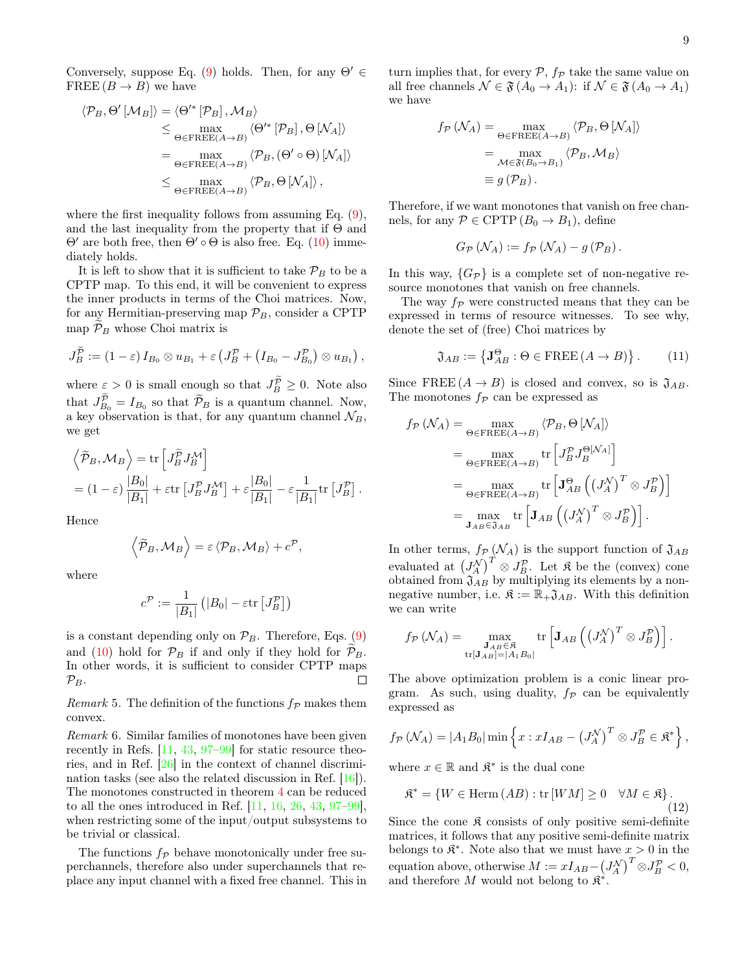Conversely, suppose Eq. [\(9\)](#page-7-1) holds. Then, for any  $\Theta' \in$ FREE  $(B \to B)$  we have

$$
\langle \mathcal{P}_B, \Theta' \left[ \mathcal{M}_B \right] \rangle = \langle \Theta'^* \left[ \mathcal{P}_B \right], \mathcal{M}_B \rangle
$$
  
\n
$$
\leq \max_{\Theta \in \text{FREE}(A \to B)} \langle \Theta'^* \left[ \mathcal{P}_B \right], \Theta \left[ \mathcal{N}_A \right] \rangle
$$
  
\n
$$
= \max_{\Theta \in \text{FREE}(A \to B)} \langle \mathcal{P}_B, (\Theta' \circ \Theta) \left[ \mathcal{N}_A \right] \rangle
$$
  
\n
$$
\leq \max_{\Theta \in \text{FREE}(A \to B)} \langle \mathcal{P}_B, \Theta \left[ \mathcal{N}_A \right] \rangle,
$$

where the first inequality follows from assuming Eq.  $(9)$ , and the last inequality from the property that if  $\Theta$  and  $\Theta'$  are both free, then  $\Theta' \circ \Theta$  is also free. Eq. [\(10\)](#page-7-0) immediately holds.

It is left to show that it is sufficient to take  $\mathcal{P}_B$  to be a CPTP map. To this end, it will be convenient to express the inner products in terms of the Choi matrices. Now, for any Hermitian-preserving map  $\mathcal{P}_B$ , consider a CPTP map  $\mathcal{P}_B$  whose Choi matrix is

$$
J_B^{\widetilde{\mathcal{P}}} := (1 - \varepsilon) I_{B_0} \otimes u_{B_1} + \varepsilon \left( J_B^{\mathcal{P}} + (I_{B_0} - J_{B_0}^{\mathcal{P}}) \otimes u_{B_1} \right),
$$

where  $\varepsilon > 0$  is small enough so that  $J_B^{\mathcal{P}} \geq 0$ . Note also that  $J_{B_0}^{\mathcal{P}} = I_{B_0}$  so that  $\widetilde{\mathcal{P}}_B$  is a quantum channel. Now, a key observation is that, for any quantum channel  $\mathcal{N}_B$ , we get

$$
\langle \widetilde{\mathcal{P}}_B, \mathcal{M}_B \rangle = \text{tr} \left[ J_B^{\widetilde{P}} J_B^{\mathcal{M}} \right]
$$
  
=  $(1 - \varepsilon) \frac{|B_0|}{|B_1|} + \varepsilon \text{tr} \left[ J_B^{\mathcal{P}} J_B^{\mathcal{M}} \right] + \varepsilon \frac{|B_0|}{|B_1|} - \varepsilon \frac{1}{|B_1|} \text{tr} \left[ J_B^{\mathcal{P}} \right].$ 

Hence

$$
\left\langle \widetilde{\mathcal{P}}_B, \mathcal{M}_B \right\rangle = \varepsilon \left\langle \mathcal{P}_B, \mathcal{M}_B \right\rangle + c^{\mathcal{P}},
$$

where

$$
c^{\mathcal{P}} := \frac{1}{|B_1|} (|B_0| - \varepsilon \text{tr}\left[J_B^{\mathcal{P}}\right])
$$

is a constant depending only on  $\mathcal{P}_B$ . Therefore, Eqs. [\(9\)](#page-7-1) and [\(10\)](#page-7-0) hold for  $\mathcal{P}_B$  if and only if they hold for  $\mathcal{P}_B$ . In other words, it is sufficient to consider CPTP maps  $\mathcal{P}_B.$  $\Box$ 

Remark 5. The definition of the functions  $f_{\mathcal{P}}$  makes them convex.

Remark 6. Similar families of monotones have been given recently in Refs. [\[11,](#page-11-22) [43,](#page-12-6) [97–](#page-12-34)[99\]](#page-12-35) for static resource theories, and in Ref. [\[26\]](#page-11-23) in the context of channel discrimination tasks (see also the related discussion in Ref. [\[16\]](#page-11-24)). The monotones constructed in theorem [4](#page-7-2) can be reduced to all the ones introduced in Ref. [\[11,](#page-11-22) [16,](#page-11-24) [26,](#page-11-23) [43,](#page-12-6) [97–](#page-12-34)[99\]](#page-12-35), when restricting some of the input/output subsystems to be trivial or classical.

The functions  $f_{\mathcal{P}}$  behave monotonically under free superchannels, therefore also under superchannels that replace any input channel with a fixed free channel. This in turn implies that, for every  $P$ ,  $f_P$  take the same value on all free channels  $\mathcal{N} \in \mathfrak{F}(A_0 \to A_1)$ : if  $\mathcal{N} \in \mathfrak{F}(A_0 \to A_1)$ we have

$$
f_{\mathcal{P}}\left(\mathcal{N}_A\right) = \max_{\Theta \in \text{FREE}(A \to B)} \left\langle \mathcal{P}_B, \Theta \left[\mathcal{N}_A\right] \right\rangle
$$

$$
= \max_{\mathcal{M} \in \mathfrak{F}(B_0 \to B_1)} \left\langle \mathcal{P}_B, \mathcal{M}_B \right\rangle
$$

$$
\equiv g\left(\mathcal{P}_B\right).
$$

Therefore, if we want monotones that vanish on free channels, for any  $P \in \text{CPTP}(B_0 \to B_1)$ , define

$$
G_{\mathcal{P}}\left(\mathcal{N}_A\right) := f_{\mathcal{P}}\left(\mathcal{N}_A\right) - g\left(\mathcal{P}_B\right).
$$

In this way,  $\{G_{\mathcal{P}}\}$  is a complete set of non-negative resource monotones that vanish on free channels.

The way  $f_{\mathcal{P}}$  were constructed means that they can be expressed in terms of resource witnesses. To see why, denote the set of (free) Choi matrices by

<span id="page-8-1"></span>
$$
\mathfrak{J}_{AB} := \left\{ \mathbf{J}_{AB}^{\Theta} : \Theta \in \text{FREE} \left( A \to B \right) \right\}. \tag{11}
$$

Since FREE  $(A \rightarrow B)$  is closed and convex, so is  $\mathfrak{J}_{AB}$ . The monotones  $f_{\mathcal{P}}$  can be expressed as

$$
f_{\mathcal{P}}\left(\mathcal{N}_A\right) = \max_{\Theta \in \text{FREE}(A \to B)} \left\langle \mathcal{P}_B, \Theta \left[\mathcal{N}_A\right] \right\rangle
$$
  
\n
$$
= \max_{\Theta \in \text{FREE}(A \to B)} \text{tr}\left[J_B^{\mathcal{P}} J_B^{\Theta[\mathcal{N}_A]}\right]
$$
  
\n
$$
= \max_{\Theta \in \text{FREE}(A \to B)} \text{tr}\left[J_{AB}^{\Theta}\left(\left(J_A^{\mathcal{N}}\right)^T \otimes J_B^{\mathcal{P}}\right)\right]
$$
  
\n
$$
= \max_{\mathbf{J}_{AB} \in \mathfrak{J}_{AB}} \text{tr}\left[\mathbf{J}_{AB}\left(\left(J_A^{\mathcal{N}}\right)^T \otimes J_B^{\mathcal{P}}\right)\right].
$$

In other terms,  $f_{\mathcal{P}}(\mathcal{N}_A)$  is the support function of  $\mathfrak{J}_{AB}$ evaluated at  $(J_A^{\mathcal{N}})^T \otimes J_B^{\mathcal{P}}$ . Let  $\mathfrak{K}$  be the (convex) cone obtained from  $\mathfrak{J}_{AB}$  by multiplying its elements by a nonnegative number, i.e.  $\mathfrak{K} := \mathbb{R}_+ \mathfrak{J}_{AB}$ . With this definition we can write

$$
f_{\mathcal{P}}\left(\mathcal{N}_A\right) = \max_{\substack{\mathbf{J}_{AB} \in \mathfrak{K} \\ \text{tr}[\mathbf{J}_{AB}] = |A_1B_0|}} \text{tr}\left[\mathbf{J}_{AB}\left(\left(J_A^{\mathcal{N}}\right)^T \otimes J_B^{\mathcal{P}}\right)\right].
$$

The above optimization problem is a conic linear program. As such, using duality,  $f_{\mathcal{P}}$  can be equivalently expressed as

$$
f_{\mathcal{P}}(\mathcal{N}_A) = |A_1B_0| \min \left\{ x : xI_{AB} - \left(J_A^{\mathcal{N}}\right)^T \otimes J_B^{\mathcal{P}} \in \mathfrak{K}^* \right\},\
$$

where  $x \in \mathbb{R}$  and  $\mathfrak{K}^*$  is the dual cone

<span id="page-8-0"></span>
$$
\mathfrak{K}^* = \{ W \in \text{Herm}(AB) : \text{tr}[WM] \ge 0 \quad \forall M \in \mathfrak{K} \}. \tag{12}
$$

Since the cone  $\mathfrak K$  consists of only positive semi-definite matrices, it follows that any positive semi-definite matrix belongs to  $\mathfrak{K}^*$ . Note also that we must have  $x > 0$  in the equation above, otherwise  $M := xI_{AB} - (J_A^{\mathcal{N}})^T \otimes J_B^{\mathcal{P}} < 0$ , and therefore M would not belong to  $\mathfrak{K}^*$ .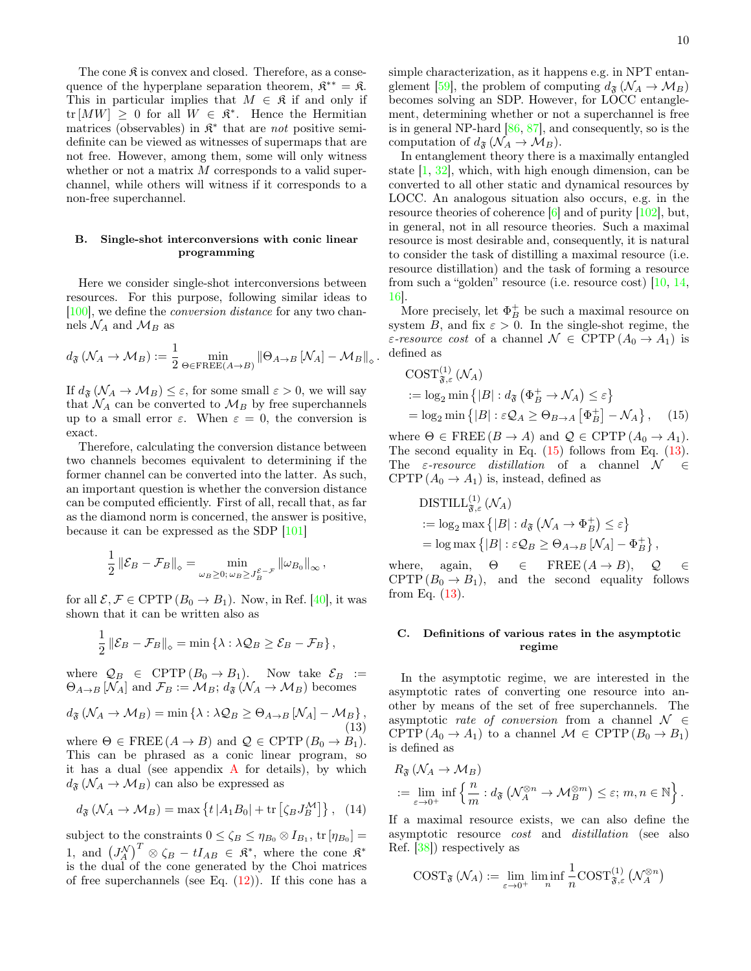The cone  $\mathfrak K$  is convex and closed. Therefore, as a consequence of the hyperplane separation theorem,  $\mathfrak{K}^{**} = \mathfrak{K}$ . This in particular implies that  $M \in \mathfrak{K}$  if and only if  $\text{tr}[MW] \geq 0$  for all  $W \in \mathfrak{K}^*$ . Hence the Hermitian matrices (observables) in  $\mathfrak{K}^*$  that are *not* positive semidefinite can be viewed as witnesses of supermaps that are not free. However, among them, some will only witness whether or not a matrix  $M$  corresponds to a valid superchannel, while others will witness if it corresponds to a non-free superchannel.

## B. Single-shot interconversions with conic linear programming

Here we consider single-shot interconversions between resources. For this purpose, following similar ideas to [\[100\]](#page-12-36), we define the conversion distance for any two channels  $\mathcal{N}_A$  and  $\mathcal{M}_B$  as

$$
d_{\mathfrak{F}}\left(\mathcal{N}_A \to \mathcal{M}_B\right) := \frac{1}{2} \min_{\Theta \in \mathrm{FREE}(A \to B)} \|\Theta_{A \to B}\left[\mathcal{N}_A\right] - \mathcal{M}_B\|_{\diamond}
$$

.

If  $d_{\mathfrak{F}}(\mathcal{N}_A \to \mathcal{M}_B) \leq \varepsilon$ , for some small  $\varepsilon > 0$ , we will say that  $\mathcal{N}_A$  can be converted to  $\mathcal{M}_B$  by free superchannels up to a small error  $\varepsilon$ . When  $\varepsilon = 0$ , the conversion is exact.

Therefore, calculating the conversion distance between two channels becomes equivalent to determining if the former channel can be converted into the latter. As such, an important question is whether the conversion distance can be computed efficiently. First of all, recall that, as far as the diamond norm is concerned, the answer is positive, because it can be expressed as the SDP [\[101\]](#page-12-37)

$$
\frac{1}{2} \left\| \mathcal{E}_B - \mathcal{F}_B \right\|_{\diamond} = \min_{\omega_B \geq 0; \, \omega_B \geq J_B^{\mathcal{E} - \mathcal{F}}} \left\| \omega_{B_0} \right\|_{\infty},
$$

for all  $\mathcal{E}, \mathcal{F} \in \text{CPTP}(B_0 \to B_1)$ . Now, in Ref. [\[40\]](#page-12-1), it was shown that it can be written also as

$$
\frac{1}{2} \left\| \mathcal{E}_B - \mathcal{F}_B \right\|_{\diamond} = \min \left\{ \lambda : \lambda \mathcal{Q}_B \ge \mathcal{E}_B - \mathcal{F}_B \right\},\
$$

where  $\mathcal{Q}_B \in \text{CPTP}(B_0 \to B_1)$ . Now take  $\mathcal{E}_B :=$  $\Theta_{A\rightarrow B}$  [ $\mathcal{N}_A$ ] and  $\mathcal{F}_B := \mathcal{M}_B$ ;  $d_{\mathfrak{F}}(\mathcal{N}_A \rightarrow \mathcal{M}_B)$  becomes

<span id="page-9-1"></span>
$$
d_{\mathfrak{F}}\left(\mathcal{N}_A \to \mathcal{M}_B\right) = \min\left\{\lambda : \lambda \mathcal{Q}_B \ge \Theta_{A \to B} \left[\mathcal{N}_A\right] - \mathcal{M}_B\right\},\tag{13}
$$

where  $\Theta \in \text{FREE}(A \to B)$  and  $\mathcal{Q} \in \text{CPTP}(B_0 \to B_1)$ . This can be phrased as a conic linear program, so it has a dual (see appendix  $\bf{A}$  $\bf{A}$  $\bf{A}$  for details), by which  $d_{\mathfrak{F}}(\mathcal{N}_A \to \mathcal{M}_B)$  can also be expressed as

<span id="page-9-2"></span>
$$
d_{\mathfrak{F}}\left(\mathcal{N}_A \to \mathcal{M}_B\right) = \max\left\{t \left|A_1 B_0\right| + \text{tr}\left[\zeta_B J_B^{\mathcal{M}}\right]\right\},\tag{14}
$$

subject to the constraints  $0 \le \zeta_B \le \eta_{B_0} \otimes I_{B_1}$ , tr $[\eta_{B_0}] =$ 1, and  $(J_A^N)^T \otimes \zeta_B - tI_{AB} \in \mathfrak{K}^*$ , where the cone  $\mathfrak{K}^*$ is the dual of the cone generated by the Choi matrices of free superchannels (see Eq.  $(12)$ ). If this cone has a simple characterization, as it happens e.g. in NPT entan-glement [\[59\]](#page-12-9), the problem of computing  $d_{\mathfrak{F}}(\mathcal{N}_A \to \mathcal{M}_B)$ becomes solving an SDP. However, for LOCC entanglement, determining whether or not a superchannel is free is in general NP-hard [\[86,](#page-12-24) [87\]](#page-12-25), and consequently, so is the computation of  $d_{\mathfrak{F}}(\mathcal{N}_A \to \mathcal{M}_B)$ .

In entanglement theory there is a maximally entangled state  $[1, 32]$  $[1, 32]$  $[1, 32]$ , which, with high enough dimension, can be converted to all other static and dynamical resources by LOCC. An analogous situation also occurs, e.g. in the resource theories of coherence [\[6\]](#page-11-3) and of purity [\[102\]](#page-12-38), but, in general, not in all resource theories. Such a maximal resource is most desirable and, consequently, it is natural to consider the task of distilling a maximal resource (i.e. resource distillation) and the task of forming a resource from such a "golden" resource (i.e. resource cost) [\[10,](#page-11-12) [14,](#page-11-8) [16\]](#page-11-24).

More precisely, let  $\Phi_B^+$  be such a maximal resource on system B, and fix  $\varepsilon > 0$ . In the single-shot regime, the ε-resource cost of a channel  $\mathcal{N} \in \text{CPTP}(A_0 \to A_1)$  is defined as

<span id="page-9-0"></span>
$$
COST_{\mathfrak{F},\varepsilon}^{(1)}(\mathcal{N}_A)
$$
  
 :=  $\log_2 \min \{|B| : d_{\mathfrak{F}}(\Phi_B^+ \to \mathcal{N}_A) \le \varepsilon\}$   
 =  $\log_2 \min \{|B| : \varepsilon \mathcal{Q}_A \ge \Theta_{B\to A}[\Phi_B^+] - \mathcal{N}_A\}$ , (15)

where  $\Theta \in \text{FREE}(B \to A)$  and  $\mathcal{Q} \in \text{CPTP}(A_0 \to A_1)$ . The second equality in Eq.  $(15)$  follows from Eq.  $(13)$ . The  $\varepsilon$ -resource distillation of a channel  $\mathcal{N} \in$ CPTP  $(A_0 \rightarrow A_1)$  is, instead, defined as

$$
\begin{aligned} \text{DISTILL}^{(1)}_{\mathfrak{F},\varepsilon}(\mathcal{N}_A) \\ &:= \log_2 \max \left\{ |B| : d_{\mathfrak{F}}\left(\mathcal{N}_A \to \Phi_B^+\right) \leq \varepsilon \right\} \\ & = \log \max \left\{ |B| : \varepsilon \mathcal{Q}_B \geq \Theta_{A \to B} \left[\mathcal{N}_A\right] - \Phi_B^+ \right\}, \end{aligned}
$$

where, again,  $\Theta \in \text{FREE}(A \rightarrow B), \quad Q \in$ CPTP  $(B_0 \to B_1)$ , and the second equality follows from Eq. [\(13\)](#page-9-1).

## C. Definitions of various rates in the asymptotic regime

In the asymptotic regime, we are interested in the asymptotic rates of converting one resource into another by means of the set of free superchannels. The asymptotic *rate of conversion* from a channel  $\mathcal{N} \in$ CPTP  $(A_0 \to A_1)$  to a channel  $\mathcal{M} \in \text{CPTP}(B_0 \to B_1)$ is defined as

$$
R_{\mathfrak{F}}\left(\mathcal{N}_A \to \mathcal{M}_B\right)
$$
  
 :=  $\lim_{\varepsilon \to 0^+}$  inf  $\left\{\frac{n}{m} : d_{\mathfrak{F}}\left(\mathcal{N}_A^{\otimes n} \to \mathcal{M}_B^{\otimes m}\right) \leq \varepsilon; m, n \in \mathbb{N}\right\}.$ 

If a maximal resource exists, we can also define the asymptotic resource cost and distillation (see also Ref. [\[38\]](#page-12-0)) respectively as

$$
\text{COST}_{\mathfrak{F}}\left(\mathcal{N}_A\right) := \lim_{\varepsilon \to 0^+} \liminf_{n} \frac{1}{n} \text{COST}_{\mathfrak{F},\varepsilon}^{(1)}\left(\mathcal{N}_A^{\otimes n}\right)
$$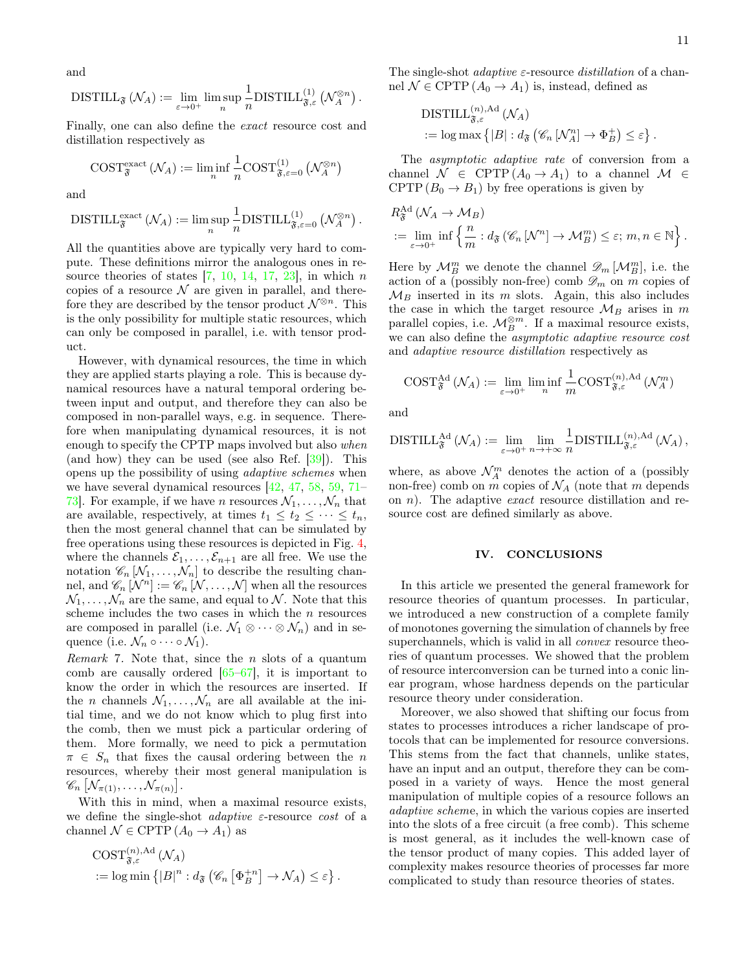and

$$
\mathrm{DISTILL}_{\mathfrak{F}}\left(\mathcal{N}_A\right) := \lim_{\varepsilon \to 0^+} \limsup_n \frac{1}{n} \mathrm{DISTILL}_{\mathfrak{F},\varepsilon}^{(1)}\left(\mathcal{N}_A^{\otimes n}\right).
$$

Finally, one can also define the exact resource cost and distillation respectively as

$$
\text{COST}^{\text{exact}}_{\mathfrak{F}}\left(\mathcal{N}_A\right):=\liminf_n\frac{1}{n}\text{COST}^{(1)}_{\mathfrak{F},\varepsilon=0}\left(\mathcal{N}_A^{\otimes n}\right)
$$

and

$$
\mathrm{DISTILL}_{\mathfrak{F}}^{\mathrm{exact}}\left(\mathcal{N}_A\right):=\limsup_n\frac{1}{n}\mathrm{DISTILL}_{\mathfrak{F},\varepsilon=0}^{(1)}\left(\mathcal{N}_A^{\otimes n}\right).
$$

All the quantities above are typically very hard to compute. These definitions mirror the analogous ones in resource theories of states  $[7, 10, 14, 17, 23]$  $[7, 10, 14, 17, 23]$  $[7, 10, 14, 17, 23]$  $[7, 10, 14, 17, 23]$  $[7, 10, 14, 17, 23]$  $[7, 10, 14, 17, 23]$  $[7, 10, 14, 17, 23]$  $[7, 10, 14, 17, 23]$  $[7, 10, 14, 17, 23]$ , in which n copies of a resource  $\mathcal N$  are given in parallel, and therefore they are described by the tensor product  $\mathcal{N}^{\otimes n}$ . This is the only possibility for multiple static resources, which can only be composed in parallel, i.e. with tensor product.

However, with dynamical resources, the time in which they are applied starts playing a role. This is because dynamical resources have a natural temporal ordering between input and output, and therefore they can also be composed in non-parallel ways, e.g. in sequence. Therefore when manipulating dynamical resources, it is not enough to specify the CPTP maps involved but also when (and how) they can be used (see also Ref. [\[39\]](#page-12-4)). This opens up the possibility of using adaptive schemes when we have several dynamical resources [\[42,](#page-12-10) [47,](#page-12-11) [58,](#page-12-12) [59,](#page-12-9) [71–](#page-12-13) [73\]](#page-12-14). For example, if we have *n* resources  $\mathcal{N}_1, \ldots, \mathcal{N}_n$  that are available, respectively, at times  $t_1 \leq t_2 \leq \cdots \leq t_n$ , then the most general channel that can be simulated by free operations using these resources is depicted in Fig. [4,](#page-5-1) where the channels  $\mathcal{E}_1, \ldots, \mathcal{E}_{n+1}$  are all free. We use the notation  $\mathscr{C}_n \left[ \mathcal{N}_1, \ldots, \mathcal{N}_n \right]$  to describe the resulting channel, and  $\mathscr{C}_n[N^n] := \mathscr{C}_n[N,\ldots,N]$  when all the resources  $\mathcal{N}_1, \ldots, \mathcal{N}_n$  are the same, and equal to  $\mathcal{N}$ . Note that this scheme includes the two cases in which the  $n$  resources are composed in parallel (i.e.  $\mathcal{N}_1 \otimes \cdots \otimes \mathcal{N}_n$ ) and in sequence (i.e.  $\mathcal{N}_n \circ \cdots \circ \mathcal{N}_1$ ).

Remark 7. Note that, since the n slots of a quantum comb are causally ordered [\[65](#page-12-5)[–67\]](#page-12-19), it is important to know the order in which the resources are inserted. If the *n* channels  $N_1, \ldots, N_n$  are all available at the initial time, and we do not know which to plug first into the comb, then we must pick a particular ordering of them. More formally, we need to pick a permutation  $\pi \in S_n$  that fixes the causal ordering between the n resources, whereby their most general manipulation is  $\mathscr{C}_n \left[ \mathcal{N}_{\pi(1)}, \ldots, \mathcal{N}_{\pi(n)} \right]$ .

With this in mind, when a maximal resource exists, we define the single-shot *adaptive*  $\varepsilon$ -resource *cost* of a channel  $\mathcal{N} \in \mathrm{CPTP}\,(A_0 \to A_1)$  as

$$
\begin{aligned} &\text{COST}_{\mathfrak{F},\varepsilon}^{(n),\text{Ad}}\left(\mathcal{N}_A\right) \\ &:= \log \min\left\{\left|B\right|^n : d_{\mathfrak{F}}\left(\mathscr{C}_n \left[\Phi_B^{+n}\right] \to \mathcal{N}_A\right) \leq \varepsilon\right\}. \end{aligned}
$$

The single-shot *adaptive*  $\varepsilon$ -resource *distillation* of a channel  $\mathcal{N} \in \text{CPTP}(A_0 \to A_1)$  is, instead, defined as

$$
\begin{aligned} \text{DISTILL}_{\mathfrak{F},\varepsilon}^{(n),\text{Ad}}\left(\mathcal{N}_A\right) \\ := \log \max \left\{ |B| : d_{\mathfrak{F}}\left(\mathscr{C}_n \left[\mathcal{N}_A^n\right] \to \Phi_B^+\right) \leq \varepsilon \right\}. \end{aligned}
$$

The asymptotic adaptive rate of conversion from a channel  $\mathcal{N} \in \text{CPTP}(A_0 \to A_1)$  to a channel  $\mathcal{M} \in$ CPTP  $(B_0 \to B_1)$  by free operations is given by

$$
R_{\mathfrak{F}}^{\mathcal{A}d}(\mathcal{N}_A \to \mathcal{M}_B)
$$
  
 :=  $\lim_{\varepsilon \to 0^+}$  inf  $\left\{ \frac{n}{m} : d_{\mathfrak{F}}(\mathscr{C}_n \left[ \mathcal{N}^n \right] \to \mathcal{M}_B^m) \le \varepsilon; m, n \in \mathbb{N} \right\}.$ 

Here by  $\mathcal{M}_{B}^{m}$  we denote the channel  $\mathscr{D}_{m}[\mathcal{M}_{B}^{m}]$ , i.e. the action of a (possibly non-free) comb  $\mathscr{D}_m$  on m copies of  $\mathcal{M}_B$  inserted in its m slots. Again, this also includes the case in which the target resource  $\mathcal{M}_B$  arises in m parallel copies, i.e.  $\mathcal{M}_{B}^{\otimes m}$ . If a maximal resource exists, we can also define the asymptotic adaptive resource cost and adaptive resource distillation respectively as

$$
\text{COST}_{\mathfrak{F}}^{\text{Ad}}\left(\mathcal{N}_A\right) := \lim_{\varepsilon \to 0^+} \liminf_{n} \frac{1}{m} \text{COST}_{\mathfrak{F},\varepsilon}^{(n),\text{Ad}}\left(\mathcal{N}_A^m\right)
$$

and

$$
\mathrm{DISTILL}_{\mathfrak{F}}^{\mathrm{Ad}}\left(\mathcal{N}_A\right) := \lim_{\varepsilon \to 0^+} \lim_{n \to +\infty} \frac{1}{n} \mathrm{DISTILL}_{\mathfrak{F},\varepsilon}^{(n),\mathrm{Ad}}\left(\mathcal{N}_A\right),
$$

where, as above  $\mathcal{N}_{A}^{m}$  denotes the action of a (possibly non-free) comb on m copies of  $\mathcal{N}_A$  (note that m depends on  $n$ ). The adaptive *exact* resource distillation and resource cost are defined similarly as above.

### <span id="page-10-0"></span>IV. CONCLUSIONS

In this article we presented the general framework for resource theories of quantum processes. In particular, we introduced a new construction of a complete family of monotones governing the simulation of channels by free superchannels, which is valid in all *convex* resource theories of quantum processes. We showed that the problem of resource interconversion can be turned into a conic linear program, whose hardness depends on the particular resource theory under consideration.

Moreover, we also showed that shifting our focus from states to processes introduces a richer landscape of protocols that can be implemented for resource conversions. This stems from the fact that channels, unlike states, have an input and an output, therefore they can be composed in a variety of ways. Hence the most general manipulation of multiple copies of a resource follows an adaptive scheme, in which the various copies are inserted into the slots of a free circuit (a free comb). This scheme is most general, as it includes the well-known case of the tensor product of many copies. This added layer of complexity makes resource theories of processes far more complicated to study than resource theories of states.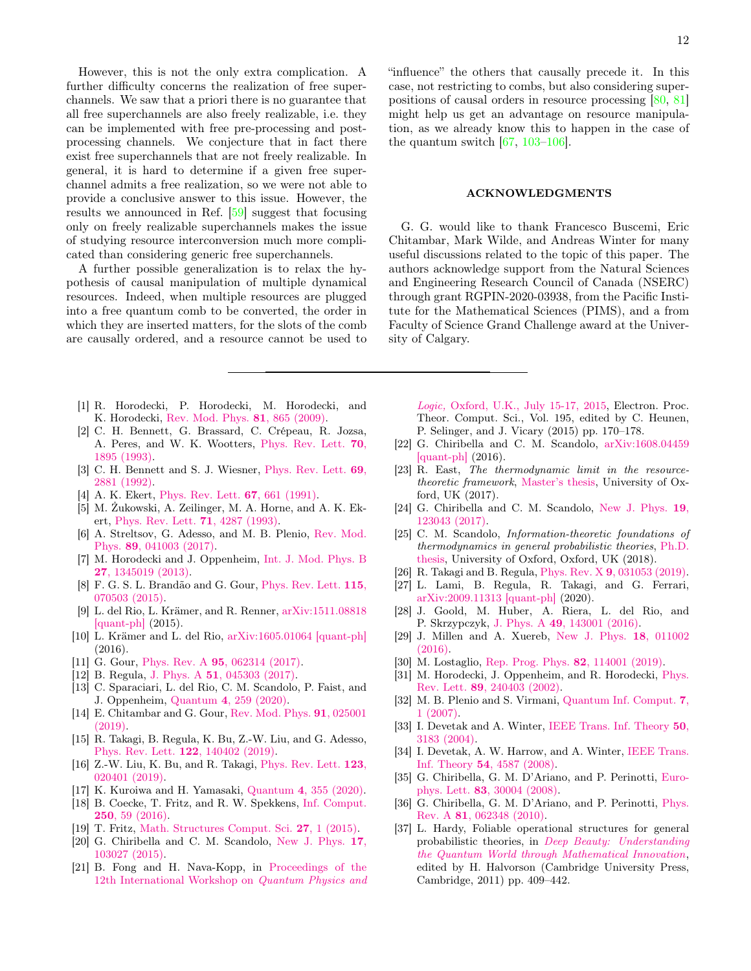However, this is not the only extra complication. A further difficulty concerns the realization of free superchannels. We saw that a priori there is no guarantee that all free superchannels are also freely realizable, i.e. they can be implemented with free pre-processing and postprocessing channels. We conjecture that in fact there exist free superchannels that are not freely realizable. In general, it is hard to determine if a given free superchannel admits a free realization, so we were not able to provide a conclusive answer to this issue. However, the results we announced in Ref. [\[59\]](#page-12-9) suggest that focusing only on freely realizable superchannels makes the issue of studying resource interconversion much more complicated than considering generic free superchannels.

A further possible generalization is to relax the hypothesis of causal manipulation of multiple dynamical resources. Indeed, when multiple resources are plugged into a free quantum comb to be converted, the order in which they are inserted matters, for the slots of the comb are causally ordered, and a resource cannot be used to

- <span id="page-11-0"></span>[1] R. Horodecki, P. Horodecki, M. Horodecki, and K. Horodecki, [Rev. Mod. Phys.](https://doi.org/10.1103/RevModPhys.81.865) 81, 865 (2009).
- <span id="page-11-1"></span>[2] C. H. Bennett, G. Brassard, C. Crépeau, R. Jozsa, A. Peres, and W. K. Wootters, [Phys. Rev. Lett.](https://doi.org/10.1103/PhysRevLett.70.1895) 70, [1895 \(1993\).](https://doi.org/10.1103/PhysRevLett.70.1895)
- <span id="page-11-16"></span>[3] C. H. Bennett and S. J. Wiesner, [Phys. Rev. Lett.](https://doi.org/10.1103/PhysRevLett.69.2881) 69, [2881 \(1992\).](https://doi.org/10.1103/PhysRevLett.69.2881)
- [4] A. K. Ekert, [Phys. Rev. Lett.](https://doi.org/10.1103/PhysRevLett.67.661) **67**, 661 (1991).
- <span id="page-11-2"></span>[5] M. Żukowski, A. Zeilinger, M. A. Horne, and A. K. Ekert, [Phys. Rev. Lett.](https://doi.org/10.1103/PhysRevLett.71.4287) 71, 4287 (1993).
- <span id="page-11-3"></span>[6] A. Streltsov, G. Adesso, and M. B. Plenio, [Rev. Mod.](https://doi.org/10.1103/RevModPhys.89.041003) Phys. 89[, 041003 \(2017\).](https://doi.org/10.1103/RevModPhys.89.041003)
- <span id="page-11-4"></span>[7] M. Horodecki and J. Oppenheim, [Int. J. Mod. Phys. B](https://doi.org/10.1142/S0217979213450197) 27[, 1345019 \(2013\).](https://doi.org/10.1142/S0217979213450197)
- <span id="page-11-11"></span>[8] F. G. S. L. Brandão and G. Gour, [Phys. Rev. Lett.](https://doi.org/10.1103/PhysRevLett.115.070503) 115, [070503 \(2015\).](https://doi.org/10.1103/PhysRevLett.115.070503)
- [9] L. del Rio, L. Krämer, and R. Renner, [arXiv:1511.08818](https://arxiv.org/abs/1511.08818) [\[quant-ph\]](https://arxiv.org/abs/1511.08818) (2015).
- <span id="page-11-12"></span>[10] L. Krämer and L. del Rio, [arXiv:1605.01064 \[quant-ph\]](https://arxiv.org/abs/1605.01064) (2016).
- <span id="page-11-22"></span>[11] G. Gour, Phys. Rev. A 95[, 062314 \(2017\).](https://doi.org/10.1103/PhysRevA.95.062314)
- [12] B. Regula, J. Phys. A 51[, 045303 \(2017\).](https://doi.org/10.1088/1751-8121/aa9100)
- [13] C. Sparaciari, L. del Rio, C. M. Scandolo, P. Faist, and J. Oppenheim, Quantum 4[, 259 \(2020\).](https://doi.org/10.22331/q-2020-04-30-259)
- <span id="page-11-8"></span>[14] E. Chitambar and G. Gour, [Rev. Mod. Phys.](https://doi.org/10.1103/RevModPhys.91.025001) 91, 025001 [\(2019\).](https://doi.org/10.1103/RevModPhys.91.025001)
- [15] R. Takagi, B. Regula, K. Bu, Z.-W. Liu, and G. Adesso, [Phys. Rev. Lett.](https://doi.org/10.1103/PhysRevLett.122.140402) 122, 140402 (2019).
- <span id="page-11-24"></span>[16] Z.-W. Liu, K. Bu, and R. Takagi, [Phys. Rev. Lett.](https://doi.org/10.1103/PhysRevLett.123.020401) 123, [020401 \(2019\).](https://doi.org/10.1103/PhysRevLett.123.020401)
- <span id="page-11-5"></span>[17] K. Kuroiwa and H. Yamasaki, Quantum 4[, 355 \(2020\).](https://doi.org/10.22331/q-2020-11-01-355)
- <span id="page-11-6"></span>[18] B. Coecke, T. Fritz, and R. W. Spekkens, [Inf. Comput.](https://doi.org/http://dx.doi.org/10.1016/j.ic.2016.02.008) 250[, 59 \(2016\).](https://doi.org/http://dx.doi.org/10.1016/j.ic.2016.02.008)
- [19] T. Fritz, [Math. Structures Comput. Sci.](https://doi.org/10.1017/S0960129515000444) 27, 1 (2015).
- [20] G. Chiribella and C. M. Scandolo, [New J. Phys.](https://doi.org/10.1088/1367-2630/17/10/103027) 17, [103027 \(2015\).](https://doi.org/10.1088/1367-2630/17/10/103027)
- <span id="page-11-21"></span>[21] B. Fong and H. Nava-Kopp, in [Proceedings of the](https://doi.org/10.4204/EPTCS.195.13) [12th International Workshop on](https://doi.org/10.4204/EPTCS.195.13) Quantum Physics and

12

"influence" the others that causally precede it. In this case, not restricting to combs, but also considering superpositions of causal orders in resource processing [\[80,](#page-12-20) [81\]](#page-12-21) might help us get an advantage on resource manipulation, as we already know this to happen in the case of the quantum switch  $[67, 103-106]$  $[67, 103-106]$  $[67, 103-106]$ .

### ACKNOWLEDGMENTS

G. G. would like to thank Francesco Buscemi, Eric Chitambar, Mark Wilde, and Andreas Winter for many useful discussions related to the topic of this paper. The authors acknowledge support from the Natural Sciences and Engineering Research Council of Canada (NSERC) through grant RGPIN-2020-03938, from the Pacific Institute for the Mathematical Sciences (PIMS), and a from Faculty of Science Grand Challenge award at the University of Calgary.

Logic, [Oxford, U.K., July 15-17, 2015,](https://doi.org/10.4204/EPTCS.195.13) Electron. Proc. Theor. Comput. Sci., Vol. 195, edited by C. Heunen, P. Selinger, and J. Vicary (2015) pp. 170–178.

- [22] G. Chiribella and C. M. Scandolo, [arXiv:1608.04459](https://arxiv.org/abs/1608.04459) [\[quant-ph\]](https://arxiv.org/abs/1608.04459) (2016).
- <span id="page-11-13"></span>[23] R. East, The thermodynamic limit in the resourcetheoretic framework, [Master's thesis,](http://www.cs.ox.ac.uk/people/bob.coecke/East.pdf) University of Oxford, UK (2017).
- [24] G. Chiribella and C. M. Scandolo, [New J. Phys.](http://stacks.iop.org/1367-2630/19/i=12/a=123043) 19, [123043 \(2017\).](http://stacks.iop.org/1367-2630/19/i=12/a=123043)
- [25] C. M. Scandolo, *Information-theoretic foundations of* thermodynamics in general probabilistic theories, [Ph.D.](https://arxiv.org/abs/1901.08054) [thesis,](https://arxiv.org/abs/1901.08054) University of Oxford, Oxford, UK (2018).
- <span id="page-11-23"></span>[26] R. Takagi and B. Regula, Phys. Rev. X 9[, 031053 \(2019\).](https://doi.org/10.1103/PhysRevX.9.031053)
- <span id="page-11-7"></span>[27] L. Lami, B. Regula, R. Takagi, and G. Ferrari, [arXiv:2009.11313 \[quant-ph\]](https://arxiv.org/abs/2009.11313) (2020).
- <span id="page-11-9"></span>[28] J. Goold, M. Huber, A. Riera, L. del Rio, and P. Skrzypczyk, J. Phys. A 49[, 143001 \(2016\).](https://doi.org/10.1088/1751-8113/49/14/143001)
- [29] J. Millen and A. Xuereb, [New J. Phys.](https://doi.org/10.1088/1367-2630/18/1/011002) 18, 011002 [\(2016\).](https://doi.org/10.1088/1367-2630/18/1/011002)
- <span id="page-11-10"></span>[30] M. Lostaglio, [Rep. Prog. Phys.](https://doi.org/10.1088/1361-6633/ab46e5) 82, 114001 (2019).
- <span id="page-11-14"></span>[31] M. Horodecki, J. Oppenheim, and R. Horodecki, [Phys.](https://doi.org/10.1103/PhysRevLett.89.240403) Rev. Lett. 89[, 240403 \(2002\).](https://doi.org/10.1103/PhysRevLett.89.240403)
- <span id="page-11-15"></span>[32] M. B. Plenio and S. Virmani, [Quantum Inf. Comput.](http://dl.acm.org/citation.cfm?id=2011706.2011707) 7, [1 \(2007\).](http://dl.acm.org/citation.cfm?id=2011706.2011707)
- <span id="page-11-17"></span>[33] I. Devetak and A. Winter, [IEEE Trans. Inf. Theory](https://doi.org/10.1109/TIT.2004.838115) 50, [3183 \(2004\).](https://doi.org/10.1109/TIT.2004.838115)
- <span id="page-11-18"></span>[34] I. Devetak, A. W. Harrow, and A. Winter, [IEEE Trans.](https://doi.org/10.1109/TIT.2008.928980) Inf. Theory 54[, 4587 \(2008\).](https://doi.org/10.1109/TIT.2008.928980)
- <span id="page-11-19"></span>[35] G. Chiribella, G. M. D'Ariano, and P. Perinotti, [Euro](https://doi.org/10.1209/0295-5075/83/30004)phys. Lett. 83[, 30004 \(2008\).](https://doi.org/10.1209/0295-5075/83/30004)
- [36] G. Chiribella, G. M. D'Ariano, and P. Perinotti, [Phys.](https://doi.org/10.1103/PhysRevA.81.062348) Rev. A 81[, 062348 \(2010\).](https://doi.org/10.1103/PhysRevA.81.062348)
- <span id="page-11-20"></span>[37] L. Hardy, Foliable operational structures for general probabilistic theories, in [Deep Beauty: Understanding](https://doi.org/10.1017/CBO9780511976971.013) [the Quantum World through Mathematical Innovation](https://doi.org/10.1017/CBO9780511976971.013), edited by H. Halvorson (Cambridge University Press, Cambridge, 2011) pp. 409–442.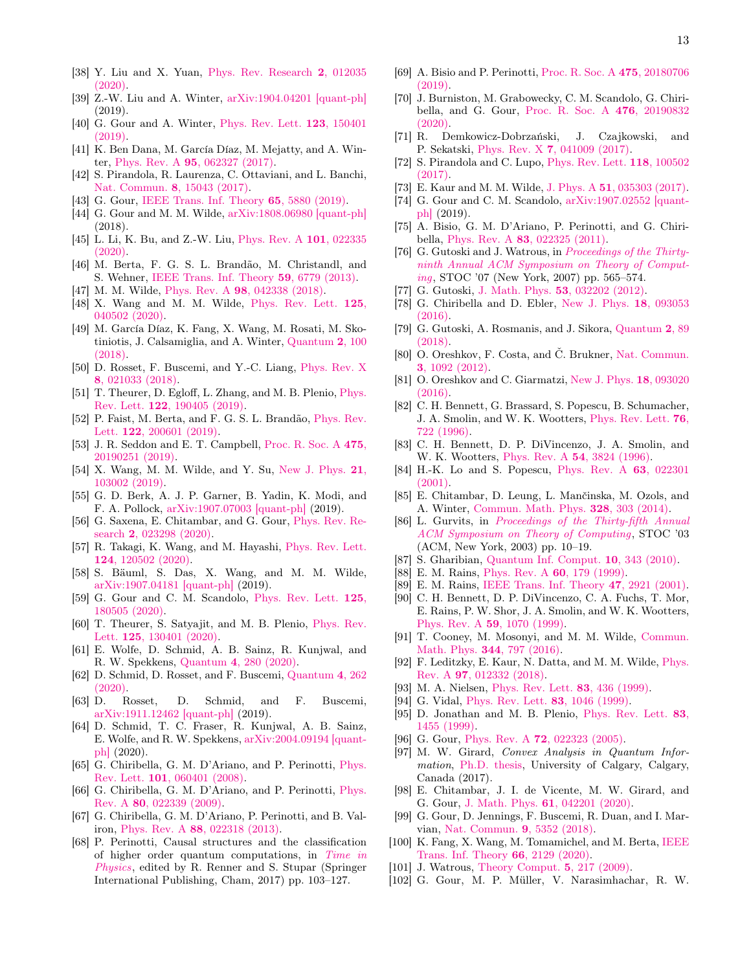- <span id="page-12-0"></span>[38] Y. Liu and X. Yuan, [Phys. Rev. Research](https://doi.org/10.1103/PhysRevResearch.2.012035) 2, 012035 [\(2020\).](https://doi.org/10.1103/PhysRevResearch.2.012035)
- <span id="page-12-4"></span>[39] Z.-W. Liu and A. Winter, [arXiv:1904.04201 \[quant-ph\]](https://arxiv.org/abs/1904.04201) (2019).
- <span id="page-12-1"></span>[40] G. Gour and A. Winter, [Phys. Rev. Lett.](https://doi.org/10.1103/PhysRevLett.123.150401) 123, 150401 [\(2019\).](https://doi.org/10.1103/PhysRevLett.123.150401)
- <span id="page-12-2"></span>[41] K. Ben Dana, M. García Díaz, M. Mejatty, and A. Winter, Phys. Rev. A 95[, 062327 \(2017\).](https://doi.org/10.1103/PhysRevA.95.062327)
- <span id="page-12-10"></span>[42] S. Pirandola, R. Laurenza, C. Ottaviani, and L. Banchi, [Nat. Commun.](https://doi.org/110.1038/ncomms15043) 8, 15043 (2017).
- <span id="page-12-6"></span>[43] G. Gour, [IEEE Trans. Inf. Theory](https://doi.org/10.1109/TIT.2019.2907989) **65**, 5880 (2019).
- [44] G. Gour and M. M. Wilde, [arXiv:1808.06980 \[quant-ph\]](https://arxiv.org/abs/1808.06980) (2018).
- [45] L. Li, K. Bu, and Z.-W. Liu, [Phys. Rev. A](https://doi.org/10.1103/PhysRevA.101.022335) 101, 022335 [\(2020\).](https://doi.org/10.1103/PhysRevA.101.022335)
- [46] M. Berta, F. G. S. L. Brandão, M. Christandl, and S. Wehner, [IEEE Trans. Inf. Theory](https://doi.org/10.1109/TIT.2013.2268533) 59, 6779 (2013).
- <span id="page-12-11"></span>[47] M. M. Wilde, Phys. Rev. A 98[, 042338 \(2018\).](https://doi.org/10.1103/PhysRevA.98.042338)
- [48] X. Wang and M. M. Wilde, [Phys. Rev. Lett.](https://doi.org/10.1103/PhysRevLett.125.040502) 125, [040502 \(2020\).](https://doi.org/10.1103/PhysRevLett.125.040502)
- [49] M. García Díaz, K. Fang, X. Wang, M. Rosati, M. Skotiniotis, J. Calsamiglia, and A. Winter, [Quantum](https://doi.org/10.22331/q-2018-10-19-100) 2, 100 [\(2018\).](https://doi.org/10.22331/q-2018-10-19-100)
- [50] D. Rosset, F. Buscemi, and Y.-C. Liang, [Phys. Rev. X](https://doi.org/10.1103/PhysRevX.8.021033) 8[, 021033 \(2018\).](https://doi.org/10.1103/PhysRevX.8.021033)
- [51] T. Theurer, D. Egloff, L. Zhang, and M. B. Plenio, *[Phys.](https://doi.org/10.1103/PhysRevLett.122.190405)* Rev. Lett. 122[, 190405 \(2019\).](https://doi.org/10.1103/PhysRevLett.122.190405)
- [52] P. Faist, M. Berta, and F. G. S. L. Brandão, [Phys. Rev.](https://doi.org/10.1103/PhysRevLett.122.200601) Lett. 122[, 200601 \(2019\).](https://doi.org/10.1103/PhysRevLett.122.200601)
- [53] J. R. Seddon and E. T. Campbell, [Proc. R. Soc. A](https://doi.org/10.1098/rspa.2019.0251) 475, [20190251 \(2019\).](https://doi.org/10.1098/rspa.2019.0251)
- [54] X. Wang, M. M. Wilde, and Y. Su, [New J. Phys.](https://doi.org/10.1088/1367-2630/ab451d) 21, [103002 \(2019\).](https://doi.org/10.1088/1367-2630/ab451d)
- [55] G. D. Berk, A. J. P. Garner, B. Yadin, K. Modi, and F. A. Pollock, [arXiv:1907.07003 \[quant-ph\]](https://arxiv.org/abs/1907.07003) (2019).
- [56] G. Saxena, E. Chitambar, and G. Gour, [Phys. Rev. Re](https://doi.org/10.1103/PhysRevResearch.2.023298)search 2[, 023298 \(2020\).](https://doi.org/10.1103/PhysRevResearch.2.023298)
- [57] R. Takagi, K. Wang, and M. Hayashi, [Phys. Rev. Lett.](https://doi.org/10.1103/PhysRevLett.124.120502) 124[, 120502 \(2020\).](https://doi.org/10.1103/PhysRevLett.124.120502)
- <span id="page-12-12"></span>[58] S. Bäuml, S. Das, X. Wang, and M. M. Wilde, [arXiv:1907.04181 \[quant-ph\]](https://arxiv.org/abs/1907.04181) (2019).
- <span id="page-12-9"></span>[59] G. Gour and C. M. Scandolo, [Phys. Rev. Lett.](https://doi.org/10.1103/PhysRevLett.125.180505) 125, [180505 \(2020\).](https://doi.org/10.1103/PhysRevLett.125.180505)
- [60] T. Theurer, S. Satyajit, and M. B. Plenio, [Phys. Rev.](https://doi.org/10.1103/PhysRevLett.125.130401) Lett. 125[, 130401 \(2020\).](https://doi.org/10.1103/PhysRevLett.125.130401)
- [61] E. Wolfe, D. Schmid, A. B. Sainz, R. Kunjwal, and R. W. Spekkens, Quantum 4[, 280 \(2020\).](https://doi.org/10.22331/q-2020-06-08-280)
- [62] D. Schmid, D. Rosset, and F. Buscemi, [Quantum](https://doi.org/10.22331/q-2020-04-30-262) 4, 262  $(2020).$
- [63] D. Rosset, D. Schmid, and F. Buscemi, [arXiv:1911.12462 \[quant-ph\]](https://arxiv.org/abs/1911.12462) (2019).
- <span id="page-12-3"></span>[64] D. Schmid, T. C. Fraser, R. Kunjwal, A. B. Sainz, E. Wolfe, and R. W. Spekkens, [arXiv:2004.09194 \[quant](https://arxiv.org/abs/2004.09194)[ph\]](https://arxiv.org/abs/2004.09194) (2020).
- <span id="page-12-5"></span>[65] G. Chiribella, G. M. D'Ariano, and P. Perinotti, [Phys.](https://doi.org/10.1103/PhysRevLett.101.060401) Rev. Lett. 101[, 060401 \(2008\).](https://doi.org/10.1103/PhysRevLett.101.060401)
- <span id="page-12-7"></span>[66] G. Chiribella, G. M. D'Ariano, and P. Perinotti, [Phys.](https://doi.org/10.1103/PhysRevA.80.022339) Rev. A 80[, 022339 \(2009\).](https://doi.org/10.1103/PhysRevA.80.022339)
- <span id="page-12-19"></span>[67] G. Chiribella, G. M. D'Ariano, P. Perinotti, and B. Valiron, Phys. Rev. A 88[, 022318 \(2013\).](https://doi.org/10.1103/PhysRevA.88.022318)
- [68] P. Perinotti, Causal structures and the classification of higher order quantum computations, in [Time in](https://doi.org/10.1007/978-3-319-68655-4_7) [Physics](https://doi.org/10.1007/978-3-319-68655-4_7), edited by R. Renner and S. Stupar (Springer International Publishing, Cham, 2017) pp. 103–127.
- [69] A. Bisio and P. Perinotti, [Proc. R. Soc. A](https://doi.org/10.1098/rspa.2018.0706) 475, 20180706 [\(2019\).](https://doi.org/10.1098/rspa.2018.0706)
- <span id="page-12-8"></span>[70] J. Burniston, M. Grabowecky, C. M. Scandolo, G. Chiribella, and G. Gour, [Proc. R. Soc. A](https://doi.org/10.1098/rspa.2019.0832) 476, 20190832 [\(2020\).](https://doi.org/10.1098/rspa.2019.0832)
- <span id="page-12-13"></span>[71] R. Demkowicz-Dobrzański, J. Czajkowski, and P. Sekatski, Phys. Rev. X 7[, 041009 \(2017\).](https://doi.org/10.1103/PhysRevX.7.041009)
- [72] S. Pirandola and C. Lupo, [Phys. Rev. Lett.](https://doi.org/10.1103/PhysRevLett.118.100502) 118, 100502  $(2017)$
- <span id="page-12-14"></span>[73] E. Kaur and M. M. Wilde, J. Phys. A 51[, 035303 \(2017\).](https://doi.org/10.1088/1751-8121/aa9da7)
- <span id="page-12-15"></span>[74] G. Gour and C. M. Scandolo, [arXiv:1907.02552 \[quant](https://arxiv.org/abs/1907.02552)[ph\]](https://arxiv.org/abs/1907.02552) (2019).
- <span id="page-12-16"></span>[75] A. Bisio, G. M. D'Ariano, P. Perinotti, and G. Chiribella, Phys. Rev. A 83[, 022325 \(2011\).](https://doi.org/10.1103/PhysRevA.83.022325)
- <span id="page-12-17"></span>[76] G. Gutoski and J. Watrous, in *[Proceedings of the Thirty](https://doi.org/10.1145/1250790.1250873)*[ninth Annual ACM Symposium on Theory of Comput](https://doi.org/10.1145/1250790.1250873)[ing](https://doi.org/10.1145/1250790.1250873), STOC '07 (New York, 2007) pp. 565–574.
- [77] G. Gutoski, J. Math. Phys. 53[, 032202 \(2012\).](https://doi.org/10.1063/1.3693621)
- [78] G. Chiribella and D. Ebler, [New J. Phys.](https://doi.org/10.1088/1367-2630/18/9/093053) 18, 093053 [\(2016\).](https://doi.org/10.1088/1367-2630/18/9/093053)
- <span id="page-12-18"></span>[79] G. Gutoski, A. Rosmanis, and J. Sikora, [Quantum](https://doi.org/10.22331/q-2018-09-03-89) 2, 89 [\(2018\).](https://doi.org/10.22331/q-2018-09-03-89)
- <span id="page-12-20"></span>[80] O. Oreshkov, F. Costa, and Č. Brukner, [Nat. Commun.](https://doi.org/10.1038/ncomms2076) 3[, 1092 \(2012\).](https://doi.org/10.1038/ncomms2076)
- <span id="page-12-21"></span>[81] O. Oreshkov and C. Giarmatzi, [New J. Phys.](https://doi.org/10.1088/1367-2630/18/9/093020) 18, 093020 [\(2016\).](https://doi.org/10.1088/1367-2630/18/9/093020)
- <span id="page-12-22"></span>[82] C. H. Bennett, G. Brassard, S. Popescu, B. Schumacher, J. A. Smolin, and W. K. Wootters, [Phys. Rev. Lett.](https://doi.org/10.1103/PhysRevLett.76.722) 76, [722 \(1996\).](https://doi.org/10.1103/PhysRevLett.76.722)
- [83] C. H. Bennett, D. P. DiVincenzo, J. A. Smolin, and W. K. Wootters, Phys. Rev. A 54[, 3824 \(1996\).](https://doi.org/10.1103/PhysRevA.54.3824)
- [84] H.-K. Lo and S. Popescu, [Phys. Rev. A](https://doi.org/10.1103/PhysRevA.63.022301) 63, 022301  $(2001)$ .
- <span id="page-12-23"></span>[85] E. Chitambar, D. Leung, L. Mančinska, M. Ozols, and A. Winter, [Commun. Math. Phys.](https://doi.org/10.1007/s00220-014-1953-9) 328, 303 (2014).
- <span id="page-12-24"></span>[86] L. Gurvits, in [Proceedings of the Thirty-fifth Annual](https://doi.org/10.1145/780542.780545) [ACM Symposium on Theory of Computing](https://doi.org/10.1145/780542.780545), STOC '03 (ACM, New York, 2003) pp. 10–19.
- <span id="page-12-25"></span>[87] S. Gharibian, [Quantum Inf. Comput.](http://dl.acm.org/citation.cfm?id=2011350.2011361) 10, 343 (2010).
- <span id="page-12-26"></span>[88] E. M. Rains, [Phys. Rev. A](https://doi.org/10.1103/PhysRevA.60.179) 60, 179 (1999).
- <span id="page-12-27"></span>[89] E. M. Rains, [IEEE Trans. Inf. Theory](https://doi.org/10.1109/18.959270) 47, 2921 (2001).
- <span id="page-12-28"></span>[90] C. H. Bennett, D. P. DiVincenzo, C. A. Fuchs, T. Mor, E. Rains, P. W. Shor, J. A. Smolin, and W. K. Wootters, Phys. Rev. A 59[, 1070 \(1999\).](https://doi.org/10.1103/PhysRevA.59.1070)
- <span id="page-12-29"></span>[91] T. Cooney, M. Mosonyi, and M. M. Wilde, [Commun.](https://doi.org/10.1007/s00220-016-2645-4) [Math. Phys.](https://doi.org/10.1007/s00220-016-2645-4) 344, 797 (2016).
- <span id="page-12-30"></span>[92] F. Leditzky, E. Kaur, N. Datta, and M. M. Wilde, [Phys.](https://doi.org/10.1103/PhysRevA.97.012332) Rev. A 97[, 012332 \(2018\).](https://doi.org/10.1103/PhysRevA.97.012332)
- <span id="page-12-31"></span>[93] M. A. Nielsen, [Phys. Rev. Lett.](https://doi.org/10.1103/PhysRevLett.83.436) 83, 436 (1999).
- [94] G. Vidal, [Phys. Rev. Lett.](https://doi.org/10.1103/PhysRevLett.83.1046) 83, 1046 (1999).
- <span id="page-12-32"></span>[95] D. Jonathan and M. B. Plenio, [Phys. Rev. Lett.](https://doi.org/10.1103/PhysRevLett.83.1455) 83, [1455 \(1999\).](https://doi.org/10.1103/PhysRevLett.83.1455)
- <span id="page-12-33"></span>[96] G. Gour, Phys. Rev. A **72**[, 022323 \(2005\).](https://doi.org/10.1103/PhysRevA.72.022323)
- <span id="page-12-34"></span>[97] M. W. Girard, Convex Analysis in Quantum Information, [Ph.D. thesis,](https://www.iqst.ca/media/pdf/publications/Girard_Calgary_PhDthesis.pdf) University of Calgary, Calgary, Canada (2017).
- [98] E. Chitambar, J. I. de Vicente, M. W. Girard, and G. Gour, J. Math. Phys. 61[, 042201 \(2020\).](https://doi.org/10.1063/1.5124109)
- <span id="page-12-35"></span>[99] G. Gour, D. Jennings, F. Buscemi, R. Duan, and I. Marvian, [Nat. Commun.](https://doi.org/10.1038/s41467-018-06261-7) 9, 5352 (2018).
- <span id="page-12-36"></span>[100] K. Fang, X. Wang, M. Tomamichel, and M. Berta, [IEEE](https://doi.org/10.1109/TIT.2019.2943858) [Trans. Inf. Theory](https://doi.org/10.1109/TIT.2019.2943858) 66, 2129 (2020).
- <span id="page-12-37"></span>[101] J. Watrous, [Theory Comput.](https://doi.org/10.4086/toc.2009.v005a011) **5**, 217 (2009).
- <span id="page-12-38"></span>[102] G. Gour, M. P. Müller, V. Narasimhachar, R. W.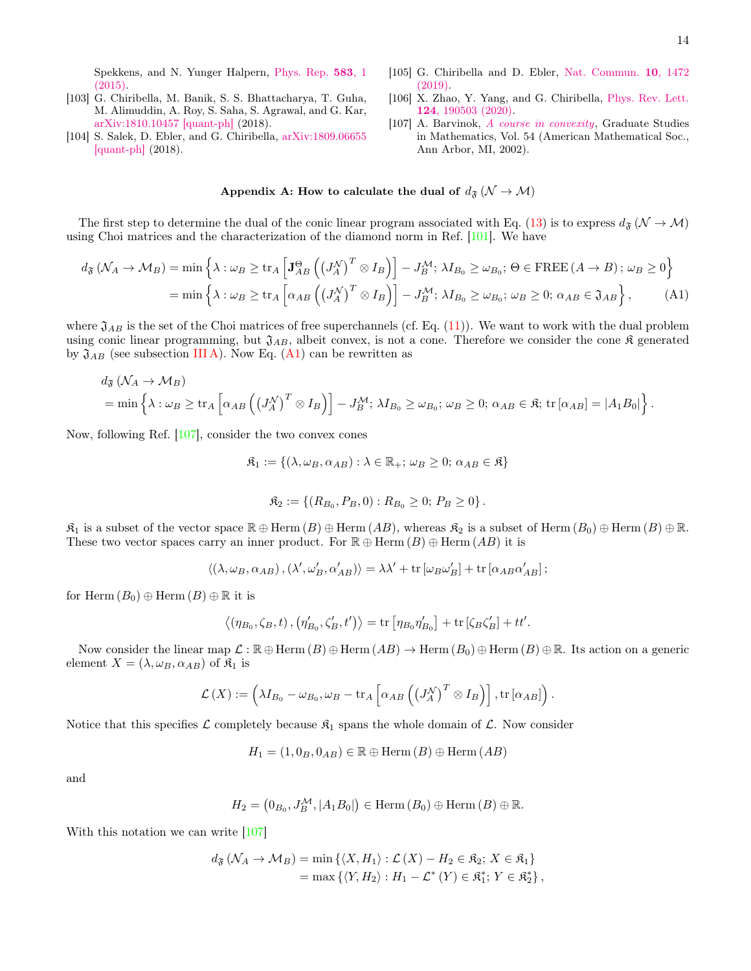Spekkens, and N. Yunger Halpern, [Phys. Rep.](https://doi.org/10.1016/j.physrep.2015.04.003) 583, 1 [\(2015\).](https://doi.org/10.1016/j.physrep.2015.04.003)

- <span id="page-13-1"></span>[103] G. Chiribella, M. Banik, S. S. Bhattacharya, T. Guha, M. Alimuddin, A. Roy, S. Saha, S. Agrawal, and G. Kar, [arXiv:1810.10457 \[quant-ph\]](https://arxiv.org/abs/1810.10457) (2018).
- [104] S. Salek, D. Ebler, and G. Chiribella, [arXiv:1809.06655](https://arxiv.org/abs/1809.06655) [\[quant-ph\]](https://arxiv.org/abs/1809.06655) (2018).
- [105] G. Chiribella and D. Ebler, [Nat. Commun.](https://doi.org/10.1038/s41467-019-09383-8) 10, 1472 [\(2019\).](https://doi.org/10.1038/s41467-019-09383-8)
- <span id="page-13-2"></span>[106] X. Zhao, Y. Yang, and G. Chiribella, [Phys. Rev. Lett.](https://doi.org/10.1103/PhysRevLett.124.190503) 124[, 190503 \(2020\).](https://doi.org/10.1103/PhysRevLett.124.190503)
- <span id="page-13-4"></span><span id="page-13-3"></span>[107] A. Barvinok, [A course in convexity](https://doi.org/10.1090/gsm/054), Graduate Studies in Mathematics, Vol. 54 (American Mathematical Soc., Ann Arbor, MI, 2002).

## <span id="page-13-0"></span>Appendix A: How to calculate the dual of  $d_{\mathfrak{F}}(\mathcal{N} \to \mathcal{M})$

The first step to determine the dual of the conic linear program associated with Eq. [\(13\)](#page-9-1) is to express  $d_{\mathfrak{F}}(\mathcal{N} \to \mathcal{M})$ using Choi matrices and the characterization of the diamond norm in Ref. [\[101\]](#page-12-37). We have

$$
d_{\mathfrak{F}}\left(\mathcal{N}_{A}\to\mathcal{M}_{B}\right)=\min\left\{\lambda:\omega_{B}\geq\text{tr}_{A}\left[\mathbf{J}_{AB}^{\Theta}\left(\left(J_{A}^{\mathcal{N}}\right)^{T}\otimes I_{B}\right)\right]-J_{B}^{\mathcal{M}};\lambda I_{B_{0}}\geq\omega_{B_{0}};\,\Theta\in\text{FREE}\left(A\to B\right);\,\omega_{B}\geq0\right\}
$$
\n
$$
=\min\left\{\lambda:\omega_{B}\geq\text{tr}_{A}\left[\alpha_{AB}\left(\left(J_{A}^{\mathcal{N}}\right)^{T}\otimes I_{B}\right)\right]-J_{B}^{\mathcal{M}};\,\lambda I_{B_{0}}\geq\omega_{B_{0}};\,\omega_{B}\geq0;\,\alpha_{AB}\in\mathfrak{J}_{AB}\right\},\tag{A1}
$$

where  $\mathfrak{J}_{AB}$  is the set of the Choi matrices of free superchannels (cf. Eq. [\(11\)](#page-8-1)). We want to work with the dual problem using conic linear programming, but  $\mathfrak{J}_{AB}$ , albeit convex, is not a cone. Therefore we consider the cone  $\mathfrak K$  generated by  $\mathfrak{J}_{AB}$  (see subsection [III A\)](#page-7-3). Now Eq. [\(A1\)](#page-13-3) can be rewritten as

$$
d_{\mathfrak{F}}\left(\mathcal{N}_A \to \mathcal{M}_B\right)
$$
  
= min  $\left\{\lambda : \omega_B \ge \text{tr}_A \left[\alpha_{AB} \left(\left(J_A^{\mathcal{N}}\right)^T \otimes I_B\right)\right] - J_B^{\mathcal{M}}; \lambda I_{B_0} \ge \omega_{B_0}; \omega_B \ge 0; \alpha_{AB} \in \mathfrak{K}; \text{tr}\left[\alpha_{AB}\right] = |A_1 B_0|\right\}.$ 

Now, following Ref. [\[107\]](#page-13-4), consider the two convex cones

$$
\mathfrak{K}_1 := \{ (\lambda, \omega_B, \alpha_{AB}) : \lambda \in \mathbb{R}_+; \omega_B \ge 0; \, \alpha_{AB} \in \mathfrak{K} \}
$$

$$
\mathfrak{K}_2 := \{ (R_{B_0}, P_B, 0) : R_{B_0} \ge 0; P_B \ge 0 \}.
$$

 $\mathfrak{K}_1$  is a subset of the vector space  $\mathbb{R} \oplus \text{Herm}(B) \oplus \text{Herm}(AB)$ , whereas  $\mathfrak{K}_2$  is a subset of  $\text{Herm}(B_0) \oplus \text{Herm}(B) \oplus \mathbb{R}$ . These two vector spaces carry an inner product. For  $\mathbb{R} \oplus \text{Herm}(B) \oplus \text{Herm}(AB)$  it is

$$
\left\langle \left( \lambda, \omega_B, \alpha_{AB}\right), \left( \lambda', \omega_B', \alpha_{AB}' \right) \right\rangle = \lambda \lambda' + \text{tr}\left[ \omega_B \omega_B' \right] + \text{tr}\left[ \alpha_{AB} \alpha_{AB}' \right];
$$

for Herm  $(B_0) \oplus \text{Herm } (B) \oplus \mathbb{R}$  it is

$$
\left\langle \left(\eta_{B_0}, \zeta_B, t\right), \left(\eta_{B_0}', \zeta_B', t'\right)\right\rangle = \text{tr}\left[\eta_{B_0} \eta_{B_0}'\right] + \text{tr}\left[\zeta_B \zeta_B'\right] + t t'.
$$

Now consider the linear map  $\mathcal{L} : \mathbb{R} \oplus \text{Herm}(B) \oplus \text{Herm}(AB) \to \text{Herm}(B_0) \oplus \text{Herm}(B) \oplus \mathbb{R}$ . Its action on a generic element  $X = (\lambda, \omega_B, \alpha_{AB})$  of  $\mathfrak{K}_1$  is

$$
\mathcal{L}(X) := \left(\lambda I_{B_0} - \omega_{B_0}, \omega_B - \text{tr}_A\left[\alpha_{AB} \left(\left(J_A^{\mathcal{N}}\right)^T \otimes I_B\right)\right], \text{tr}\left[\alpha_{AB}\right]\right).
$$

Notice that this specifies  $\mathcal L$  completely because  $\mathfrak K_1$  spans the whole domain of  $\mathcal L$ . Now consider

 $H_1 = (1, 0_B, 0_{AB}) \in \mathbb{R} \oplus \text{Herm}(B) \oplus \text{Herm}(AB)$ 

and

$$
H_2 = (0_{B_0}, J_B^{\mathcal{M}}, |A_1B_0|) \in \text{Herm} (B_0) \oplus \text{Herm} (B) \oplus \mathbb{R}.
$$

With this notation we can write [\[107\]](#page-13-4)

$$
d_{\mathfrak{F}}\left(\mathcal{N}_A \to \mathcal{M}_B\right) = \min\left\{\langle X, H_1 \rangle : \mathcal{L}\left(X\right) - H_2 \in \mathfrak{K}_2; X \in \mathfrak{K}_1\right\}
$$
  
= 
$$
\max\left\{\langle Y, H_2 \rangle : H_1 - \mathcal{L}^*\left(Y\right) \in \mathfrak{K}_1^*\colon Y \in \mathfrak{K}_2^*\right\},
$$